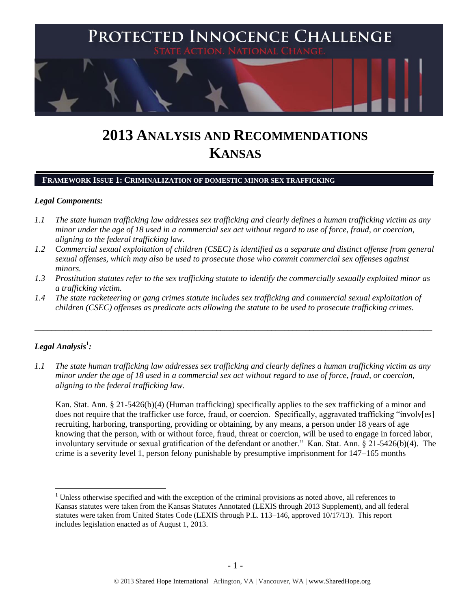

# **2013 ANALYSIS AND RECOMMENDATIONS KANSAS**

## **FRAMEWORK ISSUE 1: CRIMINALIZATION OF DOMESTIC MINOR SEX TRAFFICKING**

#### *Legal Components:*

- *1.1 The state human trafficking law addresses sex trafficking and clearly defines a human trafficking victim as any minor under the age of 18 used in a commercial sex act without regard to use of force, fraud, or coercion, aligning to the federal trafficking law.*
- *1.2 Commercial sexual exploitation of children (CSEC) is identified as a separate and distinct offense from general sexual offenses, which may also be used to prosecute those who commit commercial sex offenses against minors.*
- *1.3 Prostitution statutes refer to the sex trafficking statute to identify the commercially sexually exploited minor as a trafficking victim.*
- *1.4 The state racketeering or gang crimes statute includes sex trafficking and commercial sexual exploitation of children (CSEC) offenses as predicate acts allowing the statute to be used to prosecute trafficking crimes.*

\_\_\_\_\_\_\_\_\_\_\_\_\_\_\_\_\_\_\_\_\_\_\_\_\_\_\_\_\_\_\_\_\_\_\_\_\_\_\_\_\_\_\_\_\_\_\_\_\_\_\_\_\_\_\_\_\_\_\_\_\_\_\_\_\_\_\_\_\_\_\_\_\_\_\_\_\_\_\_\_\_\_\_\_\_\_\_\_\_\_\_\_\_\_

# $\bm{L}$ egal Analysis $^1$ :

 $\overline{a}$ 

*1.1 The state human trafficking law addresses sex trafficking and clearly defines a human trafficking victim as any minor under the age of 18 used in a commercial sex act without regard to use of force, fraud, or coercion, aligning to the federal trafficking law.*

Kan. Stat. Ann. § 21-5426(b)(4) (Human trafficking) specifically applies to the sex trafficking of a minor and does not require that the trafficker use force, fraud, or coercion. Specifically, aggravated trafficking "involv[es] recruiting, harboring, transporting, providing or obtaining, by any means, a person under 18 years of age knowing that the person, with or without force, fraud, threat or coercion, will be used to engage in forced labor, involuntary servitude or sexual gratification of the defendant or another." Kan. Stat. Ann. § 21-5426(b)(4). The crime is a severity level 1, person felony punishable by presumptive imprisonment for 147–165 months

<sup>&</sup>lt;sup>1</sup> Unless otherwise specified and with the exception of the criminal provisions as noted above, all references to Kansas statutes were taken from the Kansas Statutes Annotated (LEXIS through 2013 Supplement), and all federal statutes were taken from United States Code (LEXIS through P.L. 113–146, approved 10/17/13). This report includes legislation enacted as of August 1, 2013.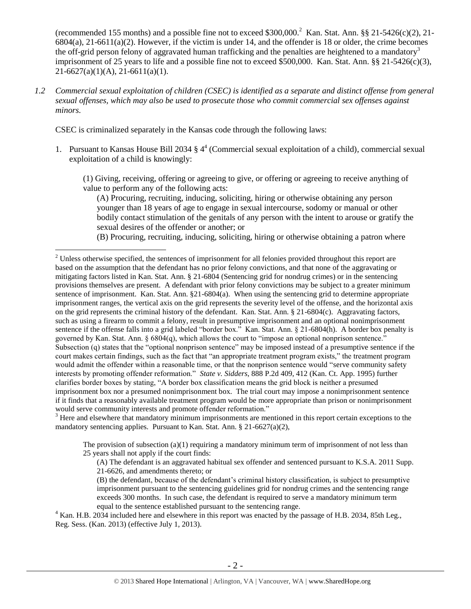(recommended 155 months) and a possible fine not to exceed  $$300,000<sup>2</sup>$  Kan. Stat. Ann. §§ 21-5426(c)(2), 21- $6804(a)$ ,  $21-6611(a)(2)$ . However, if the victim is under 14, and the offender is 18 or older, the crime becomes the off-grid person felony of aggravated human trafficking and the penalties are heightened to a mandatory<sup>3</sup> imprisonment of 25 years to life and a possible fine not to exceed \$500,000. Kan. Stat. Ann. §§ 21-5426(c)(3), 21-6627(a)(1)(A), 21-6611(a)(1).

*1.2 Commercial sexual exploitation of children (CSEC) is identified as a separate and distinct offense from general sexual offenses, which may also be used to prosecute those who commit commercial sex offenses against minors.*

CSEC is criminalized separately in the Kansas code through the following laws:

 $\overline{a}$ 

1. Pursuant to Kansas House Bill 2034 § 4<sup>4</sup> (Commercial sexual exploitation of a child), commercial sexual exploitation of a child is knowingly:

(1) Giving, receiving, offering or agreeing to give, or offering or agreeing to receive anything of value to perform any of the following acts:

<span id="page-1-1"></span><span id="page-1-0"></span>(A) Procuring, recruiting, inducing, soliciting, hiring or otherwise obtaining any person younger than 18 years of age to engage in sexual intercourse, sodomy or manual or other bodily contact stimulation of the genitals of any person with the intent to arouse or gratify the sexual desires of the offender or another; or

(B) Procuring, recruiting, inducing, soliciting, hiring or otherwise obtaining a patron where

<sup>3</sup> Here and elsewhere that mandatory minimum imprisonments are mentioned in this report certain exceptions to the mandatory sentencing applies. Pursuant to Kan. Stat. Ann. § 21-6627(a)(2),

The provision of subsection  $(a)(1)$  requiring a mandatory minimum term of imprisonment of not less than 25 years shall not apply if the court finds:

(A) The defendant is an aggravated habitual sex offender and sentenced pursuant to K.S.A. 2011 Supp. 21-6626, and amendments thereto; or

(B) the defendant, because of the defendant's criminal history classification, is subject to presumptive imprisonment pursuant to the sentencing guidelines grid for nondrug crimes and the sentencing range exceeds 300 months. In such case, the defendant is required to serve a mandatory minimum term equal to the sentence established pursuant to the sentencing range.

<sup>4</sup> Kan. H.B. 2034 included here and elsewhere in this report was enacted by the passage of H.B. 2034, 85th Leg., Reg. Sess. (Kan. 2013) (effective July 1, 2013).

<sup>&</sup>lt;sup>2</sup> Unless otherwise specified, the sentences of imprisonment for all felonies provided throughout this report are based on the assumption that the defendant has no prior felony convictions, and that none of the aggravating or mitigating factors listed in Kan. Stat. Ann. § 21-6804 (Sentencing grid for nondrug crimes) or in the sentencing provisions themselves are present. A defendant with prior felony convictions may be subject to a greater minimum sentence of imprisonment. Kan. Stat. Ann. §21-6804(a). When using the sentencing grid to determine appropriate imprisonment ranges, the vertical axis on the grid represents the severity level of the offense, and the horizontal axis on the grid represents the criminal history of the defendant. Kan. Stat. Ann.  $\S$  21-6804(c). Aggravating factors, such as using a firearm to commit a felony, result in presumptive imprisonment and an optional nonimprisonment sentence if the offense falls into a grid labeled "border box." Kan. Stat. Ann. § 21-6804(h). A border box penalty is governed by Kan. Stat. Ann. § 6804(q), which allows the court to "impose an optional nonprison sentence." Subsection (q) states that the "optional nonprison sentence" may be imposed instead of a presumptive sentence if the court makes certain findings, such as the fact that "an appropriate treatment program exists," the treatment program would admit the offender within a reasonable time, or that the nonprison sentence would "serve community safety interests by promoting offender reformation." *State v. Sidders*, 888 P.2d 409, 412 (Kan. Ct. App. 1995) further clarifies border boxes by stating, "A border box classification means the grid block is neither a presumed imprisonment box nor a presumed nonimprisonment box. The trial court may impose a nonimprisonment sentence if it finds that a reasonably available treatment program would be more appropriate than prison or nonimprisonment would serve community interests and promote offender reformation."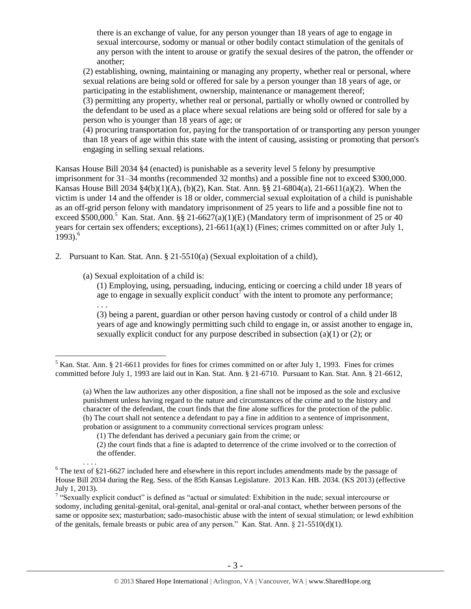there is an exchange of value, for any person younger than 18 years of age to engage in sexual intercourse, sodomy or manual or other bodily contact stimulation of the genitals of any person with the intent to arouse or gratify the sexual desires of the patron, the offender or another;

(2) establishing, owning, maintaining or managing any property, whether real or personal, where sexual relations are being sold or offered for sale by a person younger than 18 years of age, or participating in the establishment, ownership, maintenance or management thereof;

(3) permitting any property, whether real or personal, partially or wholly owned or controlled by the defendant to be used as a place where sexual relations are being sold or offered for sale by a person who is younger than 18 years of age; or

(4) procuring transportation for, paying for the transportation of or transporting any person younger than 18 years of age within this state with the intent of causing, assisting or promoting that person's engaging in selling sexual relations.

Kansas House Bill 2034 §4 (enacted) is punishable as a severity level 5 felony by presumptive imprisonment for 31–34 months (recommended 32 months) and a possible fine not to exceed \$300,000. Kansas House Bill 2034 §4(b)(1)(A), (b)(2), Kan. Stat. Ann. §§ 21-6804(a), 21-6611(a)(2). When the victim is under 14 and the offender is 18 or older, commercial sexual exploitation of a child is punishable as an off-grid person felony with mandatory imprisonment of 25 years to life and a possible fine not to exceed \$500,000.<sup>5</sup> Kan. Stat. Ann. §§ 21-6627(a)(1)(E) (Mandatory term of imprisonment of 25 or 40 years for certain sex offenders; exceptions),  $21-6611(a)(1)$  (Fines; crimes committed on or after July 1, 1993). 6

2. Pursuant to Kan. Stat. Ann. § 21-5510(a) (Sexual exploitation of a child),

(a) Sexual exploitation of a child is:

 $\overline{a}$ 

. . . .

<span id="page-2-0"></span>(1) Employing, using, persuading, inducing, enticing or coercing a child under 18 years of age to engage in sexually explicit conduct<sup>7</sup> with the intent to promote any performance; . . .

(3) being a parent, guardian or other person having custody or control of a child under l8 years of age and knowingly permitting such child to engage in, or assist another to engage in, sexually explicit conduct for any purpose described in subsection (a)(1) or (2); or

<sup>&</sup>lt;sup>5</sup> Kan. Stat. Ann. § 21-6611 provides for fines for crimes committed on or after July 1, 1993. Fines for crimes committed before July 1, 1993 are laid out in Kan. Stat. Ann. § 21-6710. Pursuant to Kan. Stat. Ann. § 21-6612,

<sup>(</sup>a) When the law authorizes any other disposition, a fine shall not be imposed as the sole and exclusive punishment unless having regard to the nature and circumstances of the crime and to the history and character of the defendant, the court finds that the fine alone suffices for the protection of the public. (b) The court shall not sentence a defendant to pay a fine in addition to a sentence of imprisonment, probation or assignment to a community correctional services program unless:

<sup>(1)</sup> The defendant has derived a pecuniary gain from the crime; or

<sup>(2)</sup> the court finds that a fine is adapted to deterrence of the crime involved or to the correction of the offender.

 $6$  The text of §21-6627 included here and elsewhere in this report includes amendments made by the passage of House Bill 2034 during the Reg. Sess. of the 85th Kansas Legislature. 2013 Kan. HB. 2034. (KS 2013) (effective July 1, 2013).

<sup>&</sup>lt;sup>7</sup> "Sexually explicit conduct" is defined as "actual or simulated: Exhibition in the nude; sexual intercourse or sodomy, including genital-genital, oral-genital, anal-genital or oral-anal contact, whether between persons of the same or opposite sex; masturbation; sado-masochistic abuse with the intent of sexual stimulation; or lewd exhibition of the genitals, female breasts or pubic area of any person." Kan. Stat. Ann. § 21-5510(d)(1).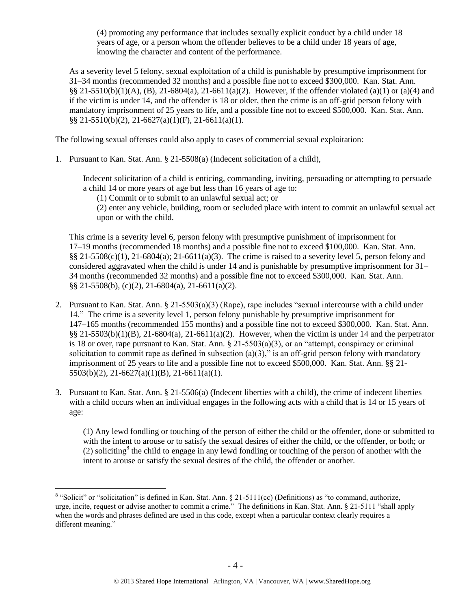(4) promoting any performance that includes sexually explicit conduct by a child under 18 years of age, or a person whom the offender believes to be a child under 18 years of age, knowing the character and content of the performance.

As a severity level 5 felony, sexual exploitation of a child is punishable by presumptive imprisonment for 31–34 months (recommended 32 months) and a possible fine not to exceed \$300,000. Kan. Stat. Ann. §§ 21-5510(b)(1)(A), (B), 21-6804(a), 21-6611(a)(2). However, if the offender violated (a)(1) or (a)(4) and if the victim is under 14, and the offender is 18 or older, then the crime is an off-grid person felony with mandatory imprisonment of 25 years to life, and a possible fine not to exceed \$500,000. Kan. Stat. Ann. §§ 21-5510(b)(2), 21-6627(a)(1)(F), 21-6611(a)(1).

The following sexual offenses could also apply to cases of commercial sexual exploitation:

1. Pursuant to Kan. Stat. Ann. § 21-5508(a) (Indecent solicitation of a child),

Indecent solicitation of a child is enticing, commanding, inviting, persuading or attempting to persuade a child 14 or more years of age but less than 16 years of age to:

(1) Commit or to submit to an unlawful sexual act; or

(2) enter any vehicle, building, room or secluded place with intent to commit an unlawful sexual act upon or with the child.

This crime is a severity level 6, person felony with presumptive punishment of imprisonment for 17–19 months (recommended 18 months) and a possible fine not to exceed \$100,000. Kan. Stat. Ann.  $\S$ § 21-5508(c)(1), 21-6804(a); 21-6611(a)(3). The crime is raised to a severity level 5, person felony and considered aggravated when the child is under 14 and is punishable by presumptive imprisonment for 31– 34 months (recommended 32 months) and a possible fine not to exceed \$300,000. Kan. Stat. Ann. §§ 21-5508(b), (c)(2), 21-6804(a), 21-6611(a)(2).

- 2. Pursuant to Kan. Stat. Ann. § 21-5503(a)(3) (Rape), rape includes "sexual intercourse with a child under 14." The crime is a severity level 1, person felony punishable by presumptive imprisonment for 147–165 months (recommended 155 months) and a possible fine not to exceed \$300,000. Kan. Stat. Ann.  $\S$ § 21-5503(b)(1)(B), 21-6804(a), 21-6611(a)(2). However, when the victim is under 14 and the perpetrator is 18 or over, rape pursuant to Kan. Stat. Ann.  $\S 21-5503(a)(3)$ , or an "attempt, conspiracy or criminal solicitation to commit rape as defined in subsection  $(a)(3)$ ," is an off-grid person felony with mandatory imprisonment of 25 years to life and a possible fine not to exceed \$500,000. Kan. Stat. Ann. §§ 21- 5503(b)(2), 21-6627(a)(1)(B), 21-6611(a)(1).
- 3. Pursuant to Kan. Stat. Ann. § 21-5506(a) (Indecent liberties with a child), the crime of indecent liberties with a child occurs when an individual engages in the following acts with a child that is 14 or 15 years of age:

<span id="page-3-0"></span>(1) Any lewd fondling or touching of the person of either the child or the offender, done or submitted to with the intent to arouse or to satisfy the sexual desires of either the child, or the offender, or both; or  $(2)$  soliciting<sup>8</sup> the child to engage in any lewd fondling or touching of the person of another with the intent to arouse or satisfy the sexual desires of the child, the offender or another.

<sup>&</sup>lt;sup>8</sup> "Solicit" or "solicitation" is defined in Kan. Stat. Ann. § 21-5111(cc) (Definitions) as "to command, authorize, urge, incite, request or advise another to commit a crime." The definitions in Kan. Stat. Ann. § 21-5111 "shall apply when the words and phrases defined are used in this code, except when a particular context clearly requires a different meaning."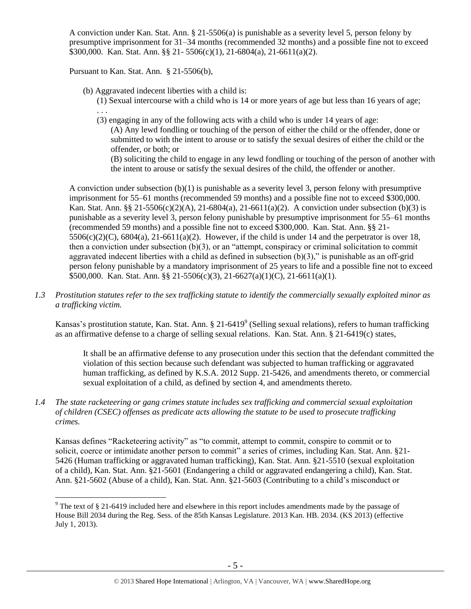A conviction under Kan. Stat. Ann. § 21-5506(a) is punishable as a severity level 5, person felony by presumptive imprisonment for 31–34 months (recommended 32 months) and a possible fine not to exceed \$300,000. Kan. Stat. Ann. §§ 21- 5506(c)(1), 21-6804(a), 21-6611(a)(2).

Pursuant to Kan. Stat. Ann. § 21-5506(b),

 $\overline{a}$ 

(b) Aggravated indecent liberties with a child is:

(1) Sexual intercourse with a child who is 14 or more years of age but less than 16 years of age; . . .

(3) engaging in any of the following acts with a child who is under 14 years of age:

(A) Any lewd fondling or touching of the person of either the child or the offender, done or submitted to with the intent to arouse or to satisfy the sexual desires of either the child or the offender, or both; or

(B) soliciting the child to engage in any lewd fondling or touching of the person of another with the intent to arouse or satisfy the sexual desires of the child, the offender or another.

A conviction under subsection (b)(1) is punishable as a severity level 3, person felony with presumptive imprisonment for 55–61 months (recommended 59 months) and a possible fine not to exceed \$300,000. Kan. Stat. Ann. §§ 21-5506(c)(2)(A), 21-6804(a), 21-6611(a)(2). A conviction under subsection (b)(3) is punishable as a severity level 3, person felony punishable by presumptive imprisonment for 55–61 months (recommended 59 months) and a possible fine not to exceed \$300,000. Kan. Stat. Ann. §§ 21-  $5506(c)(2)(C)$ ,  $6804(a)$ ,  $21-6611(a)(2)$ . However, if the child is under 14 and the perpetrator is over 18, then a conviction under subsection (b)(3), or an "attempt, conspiracy or criminal solicitation to commit aggravated indecent liberties with a child as defined in subsection  $(b)(3)$ ," is punishable as an off-grid person felony punishable by a mandatory imprisonment of 25 years to life and a possible fine not to exceed \$500,000. Kan. Stat. Ann. §§ 21-5506(c)(3), 21-6627(a)(1)(C), 21-6611(a)(1).

*1.3 Prostitution statutes refer to the sex trafficking statute to identify the commercially sexually exploited minor as a trafficking victim.* 

Kansas's prostitution statute, Kan. Stat. Ann.  $\S 21-6419^\circ$  (Selling sexual relations), refers to human trafficking as an affirmative defense to a charge of selling sexual relations. Kan. Stat. Ann. § 21-6419(c) states,

<span id="page-4-0"></span>It shall be an affirmative defense to any prosecution under this section that the defendant committed the violation of this section because such defendant was subjected to human trafficking or aggravated human trafficking, as defined by K.S.A. 2012 Supp. 21-5426, and amendments thereto, or commercial sexual exploitation of a child, as defined by section 4, and amendments thereto.

*1.4 The state racketeering or gang crimes statute includes sex trafficking and commercial sexual exploitation of children (CSEC) offenses as predicate acts allowing the statute to be used to prosecute trafficking crimes.* 

Kansas defines "Racketeering activity" as "to commit, attempt to commit, conspire to commit or to solicit, coerce or intimidate another person to commit" a series of crimes, including Kan. Stat. Ann. §21-5426 (Human trafficking or aggravated human trafficking), Kan. Stat. Ann. §21-5510 (sexual exploitation of a child), Kan. Stat. Ann. §21-5601 (Endangering a child or aggravated endangering a child), Kan. Stat. Ann. §21-5602 (Abuse of a child), Kan. Stat. Ann. §21-5603 (Contributing to a child's misconduct or

<sup>9</sup> The text of § 21-6419 included here and elsewhere in this report includes amendments made by the passage of House Bill 2034 during the Reg. Sess. of the 85th Kansas Legislature. 2013 Kan. HB. 2034. (KS 2013) (effective July 1, 2013).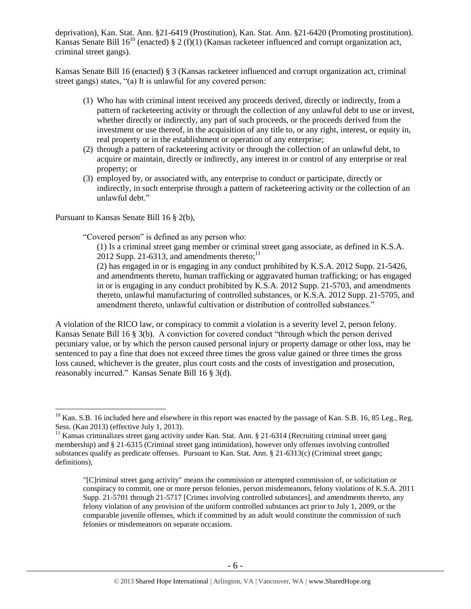deprivation), Kan. Stat. Ann. §21-6419 (Prostitution), Kan. Stat. Ann. §21-6420 (Promoting prostitution). Kansas Senate Bill  $16^{10}$  (enacted) § 2 (f)(1) (Kansas racketeer influenced and corrupt organization act, criminal street gangs).

Kansas Senate Bill 16 (enacted) § 3 (Kansas racketeer influenced and corrupt organization act, criminal street gangs) states, "(a) It is unlawful for any covered person:

- (1) Who has with criminal intent received any proceeds derived, directly or indirectly, from a pattern of racketeering activity or through the collection of any unlawful debt to use or invest, whether directly or indirectly, any part of such proceeds, or the proceeds derived from the investment or use thereof, in the acquisition of any title to, or any right, interest, or equity in, real property or in the establishment or operation of any enterprise;
- (2) through a pattern of racketeering activity or through the collection of an unlawful debt, to acquire or maintain, directly or indirectly, any interest in or control of any enterprise or real property; or
- (3) employed by, or associated with, any enterprise to conduct or participate, directly or indirectly, in such enterprise through a pattern of racketeering activity or the collection of an unlawful debt."

Pursuant to Kansas Senate Bill 16 § 2(b),

 $\overline{a}$ 

"Covered person" is defined as any person who:

(1) Is a criminal street gang member or criminal street gang associate, as defined in K.S.A. 2012 Supp. 21-6313, and amendments thereto; $^{11}$ 

(2) has engaged in or is engaging in any conduct prohibited by K.S.A. 2012 Supp. 21-5426, and amendments thereto, human trafficking or aggravated human trafficking; or has engaged in or is engaging in any conduct prohibited by K.S.A. 2012 Supp. 21-5703, and amendments thereto, unlawful manufacturing of controlled substances, or K.S.A. 2012 Supp. 21-5705, and amendment thereto, unlawful cultivation or distribution of controlled substances."

A violation of the RICO law, or conspiracy to commit a violation is a severity level 2, person felony. Kansas Senate Bill 16 § 3(b). A conviction for covered conduct "through which the person derived pecuniary value, or by which the person caused personal injury or property damage or other loss, may be sentenced to pay a fine that does not exceed three times the gross value gained or three times the gross loss caused, whichever is the greater, plus court costs and the costs of investigation and prosecution, reasonably incurred." Kansas Senate Bill 16 § 3(d).

 $10$  Kan. S.B. 16 included here and elsewhere in this report was enacted by the passage of Kan. S.B. 16, 85 Leg., Reg. Sess. (Kan 2013) (effective July 1, 2013).

<sup>&</sup>lt;sup>11</sup> Kansas criminalizes street gang activity under Kan. Stat. Ann. § 21-6314 (Recruiting criminal street gang membership) and § 21-6315 (Criminal street gang intimidation), however only offenses involving controlled substances qualify as predicate offenses. Pursuant to Kan. Stat. Ann. § 21-6313(c) (Criminal street gangs; definitions),

<sup>&</sup>quot;[C]riminal street gang activity" means the commission or attempted commission of, or solicitation or conspiracy to commit, one or more person felonies, person misdemeanors, felony violations of K.S.A. 2011 Supp. 21-5701 through 21-5717 [Crimes involving controlled substances], and amendments thereto, any felony violation of any provision of the uniform controlled substances act prior to July 1, 2009, or the comparable juvenile offenses, which if committed by an adult would constitute the commission of such felonies or misdemeanors on separate occasions.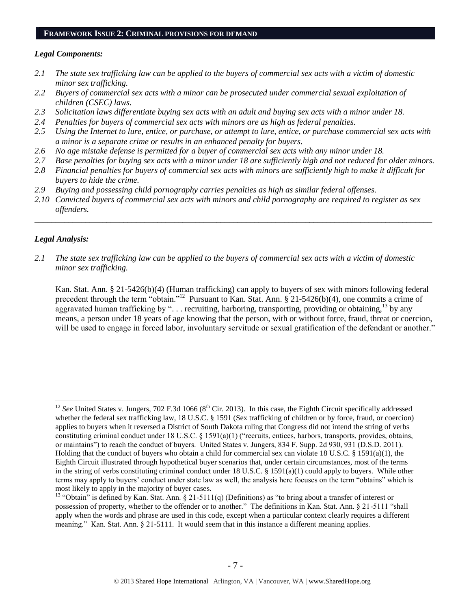#### **FRAMEWORK ISSUE 2: CRIMINAL PROVISIONS FOR DEMAND**

#### *Legal Components:*

- *2.1 The state sex trafficking law can be applied to the buyers of commercial sex acts with a victim of domestic minor sex trafficking.*
- *2.2 Buyers of commercial sex acts with a minor can be prosecuted under commercial sexual exploitation of children (CSEC) laws.*
- *2.3 Solicitation laws differentiate buying sex acts with an adult and buying sex acts with a minor under 18.*
- *2.4 Penalties for buyers of commercial sex acts with minors are as high as federal penalties.*
- *2.5 Using the Internet to lure, entice, or purchase, or attempt to lure, entice, or purchase commercial sex acts with a minor is a separate crime or results in an enhanced penalty for buyers.*
- *2.6 No age mistake defense is permitted for a buyer of commercial sex acts with any minor under 18.*
- *2.7 Base penalties for buying sex acts with a minor under 18 are sufficiently high and not reduced for older minors.*
- *2.8 Financial penalties for buyers of commercial sex acts with minors are sufficiently high to make it difficult for buyers to hide the crime.*
- *2.9 Buying and possessing child pornography carries penalties as high as similar federal offenses.*
- *2.10 Convicted buyers of commercial sex acts with minors and child pornography are required to register as sex offenders.*

\_\_\_\_\_\_\_\_\_\_\_\_\_\_\_\_\_\_\_\_\_\_\_\_\_\_\_\_\_\_\_\_\_\_\_\_\_\_\_\_\_\_\_\_\_\_\_\_\_\_\_\_\_\_\_\_\_\_\_\_\_\_\_\_\_\_\_\_\_\_\_\_\_\_\_\_\_\_\_\_\_\_\_\_\_\_\_\_\_\_\_\_\_\_

#### *Legal Analysis:*

 $\overline{a}$ 

*2.1 The state sex trafficking law can be applied to the buyers of commercial sex acts with a victim of domestic minor sex trafficking.*

Kan. Stat. Ann. § 21-5426(b)(4) (Human trafficking) can apply to buyers of sex with minors following federal precedent through the term "obtain."<sup>12</sup> Pursuant to Kan. Stat. Ann. § 21-5426(b)(4), one commits a crime of aggravated human trafficking by "... recruiting, harboring, transporting, providing or obtaining,<sup>13</sup> by any means, a person under 18 years of age knowing that the person, with or without force, fraud, threat or coercion, will be used to engage in forced labor, involuntary servitude or sexual gratification of the defendant or another."

 $12$  *See* United States v. Jungers, 702 F.3d 1066 ( $8<sup>th</sup>$  Cir. 2013). In this case, the Eighth Circuit specifically addressed whether the federal sex trafficking law, 18 U.S.C. § 1591 (Sex trafficking of children or by force, fraud, or coercion) applies to buyers when it reversed a District of South Dakota ruling that Congress did not intend the string of verbs constituting criminal conduct under 18 U.S.C. § 1591(a)(1) ("recruits, entices, harbors, transports, provides, obtains, or maintains") to reach the conduct of buyers. United States v. Jungers, 834 F. Supp. 2d 930, 931 (D.S.D. 2011). Holding that the conduct of buyers who obtain a child for commercial sex can violate 18 U.S.C. § 1591(a)(1), the Eighth Circuit illustrated through hypothetical buyer scenarios that, under certain circumstances, most of the terms in the string of verbs constituting criminal conduct under 18 U.S.C. § 1591(a)(1) could apply to buyers. While other terms may apply to buyers' conduct under state law as well, the analysis here focuses on the term "obtains" which is most likely to apply in the majority of buyer cases.

<sup>&</sup>lt;sup>13</sup> "Obtain" is defined by Kan. Stat. Ann. § 21-5111(q) (Definitions) as "to bring about a transfer of interest or possession of property, whether to the offender or to another." The definitions in Kan. Stat. Ann. § 21-5111 "shall apply when the words and phrase are used in this code, except when a particular context clearly requires a different meaning." Kan. Stat. Ann. § 21-5111. It would seem that in this instance a different meaning applies.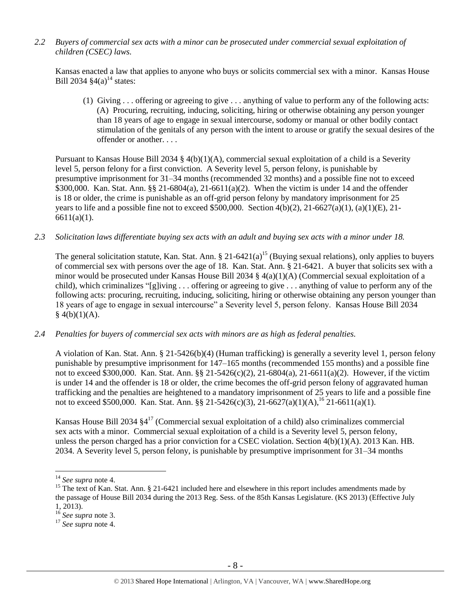*2.2 Buyers of commercial sex acts with a minor can be prosecuted under commercial sexual exploitation of children (CSEC) laws.*

Kansas enacted a law that applies to anyone who buys or solicits commercial sex with a minor. Kansas House Bill 2034  $\S4(a)^{14}$  states:

(1) Giving . . . offering or agreeing to give . . . anything of value to perform any of the following acts: (A) Procuring, recruiting, inducing, soliciting, hiring or otherwise obtaining any person younger than 18 years of age to engage in sexual intercourse, sodomy or manual or other bodily contact stimulation of the genitals of any person with the intent to arouse or gratify the sexual desires of the offender or another. . . .

Pursuant to Kansas House Bill 2034 § 4(b)(1)(A), commercial sexual exploitation of a child is a Severity level 5, person felony for a first conviction. A Severity level 5, person felony, is punishable by presumptive imprisonment for 31–34 months (recommended 32 months) and a possible fine not to exceed \$300,000. Kan. Stat. Ann. §§ 21-6804(a), 21-6611(a)(2). When the victim is under 14 and the offender is 18 or older, the crime is punishable as an off-grid person felony by mandatory imprisonment for 25 years to life and a possible fine not to exceed \$500,000. Section  $4(b)(2)$ ,  $21-6627(a)(1)$ ,  $(a)(1)(E)$ ,  $21-$ 6611(a)(1).

*2.3 Solicitation laws differentiate buying sex acts with an adult and buying sex acts with a minor under 18.*

The general solicitation statute, Kan. Stat. Ann.  $\S 21-6421(a)^{15}$  (Buying sexual relations), only applies to buyers of commercial sex with persons over the age of 18. Kan. Stat. Ann. § 21-6421. A buyer that solicits sex with a minor would be prosecuted under Kansas House Bill 2034 § 4(a)(1)(A) (Commercial sexual exploitation of a child), which criminalizes "[g]iving . . . offering or agreeing to give . . . anything of value to perform any of the following acts: procuring, recruiting, inducing, soliciting, hiring or otherwise obtaining any person younger than 18 years of age to engage in sexual intercourse" a Severity level 5, person felony. Kansas House Bill 2034  $§$  4(b)(1)(A).

*2.4 Penalties for buyers of commercial sex acts with minors are as high as federal penalties.*

A violation of Kan. Stat. Ann. § 21-5426(b)(4) (Human trafficking) is generally a severity level 1, person felony punishable by presumptive imprisonment for 147–165 months (recommended 155 months) and a possible fine not to exceed \$300,000. Kan. Stat. Ann. §§ 21-5426(c)(2), 21-6804(a), 21-6611(a)(2). However, if the victim is under 14 and the offender is 18 or older, the crime becomes the off-grid person felony of aggravated human trafficking and the penalties are heightened to a mandatory imprisonment of 25 years to life and a possible fine not to exceed \$500,000. Kan. Stat. Ann. §§ 21-5426(c)(3), 21-6627(a)(1)(A), <sup>16</sup> 21-6611(a)(1).

Kansas House Bill 2034  $\S4^{17}$  (Commercial sexual exploitation of a child) also criminalizes commercial sex acts with a minor. Commercial sexual exploitation of a child is a Severity level 5, person felony, unless the person charged has a prior conviction for a CSEC violation. Section 4(b)(1)(A). 2013 Kan. HB. 2034. A Severity level 5, person felony, is punishable by presumptive imprisonment for 31–34 months

<sup>14</sup> *See supra* note [4.](#page-1-0)

<sup>&</sup>lt;sup>15</sup> The text of Kan. Stat. Ann. § 21-6421 included here and elsewhere in this report includes amendments made by the passage of House Bill 2034 during the 2013 Reg. Sess. of the 85th Kansas Legislature. (KS 2013) (Effective July 1, 2013).

<sup>16</sup> *See supra* note [3.](#page-1-1)

<sup>17</sup> *See supra* note [4.](#page-1-0)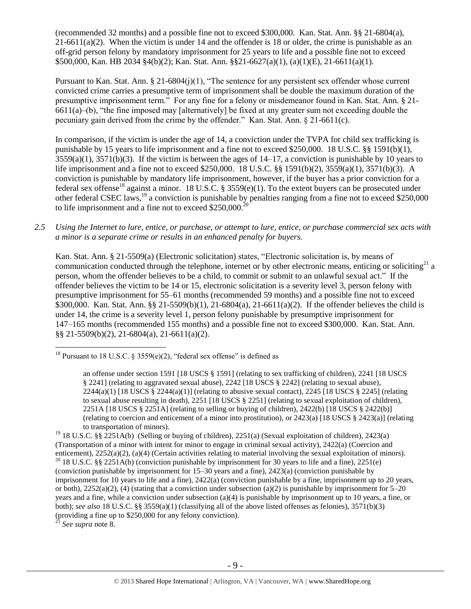(recommended 32 months) and a possible fine not to exceed \$300,000. Kan. Stat. Ann. §§ 21-6804(a),  $21-6611(a)(2)$ . When the victim is under 14 and the offender is 18 or older, the crime is punishable as an off-grid person felony by mandatory imprisonment for 25 years to life and a possible fine not to exceed \$500,000, Kan. HB 2034 §4(b)(2); Kan. Stat. Ann. §§21-6627(a)(1), (a)(1)(E), 21-6611(a)(1).

Pursuant to Kan. Stat. Ann. § 21-6804(j)(1), "The sentence for any persistent sex offender whose current convicted crime carries a presumptive term of imprisonment shall be double the maximum duration of the presumptive imprisonment term." For any fine for a felony or misdemeanor found in Kan. Stat. Ann. § 21- 6611(a)–(b), "the fine imposed may [alternatively] be fixed at any greater sum not exceeding double the pecuniary gain derived from the crime by the offender." Kan. Stat. Ann. § 21-6611(c).

<span id="page-8-0"></span>In comparison, if the victim is under the age of 14, a conviction under the TVPA for child sex trafficking is punishable by 15 years to life imprisonment and a fine not to exceed \$250,000. 18 U.S.C. §§ 1591(b)(1),  $3559(a)(1)$ ,  $3571(b)(3)$ . If the victim is between the ages of  $14-17$ , a conviction is punishable by 10 years to life imprisonment and a fine not to exceed \$250,000. 18 U.S.C. §§ 1591(b)(2), 3559(a)(1), 3571(b)(3). A conviction is punishable by mandatory life imprisonment, however, if the buyer has a prior conviction for a federal sex offense<sup>18</sup> against a minor. 18 U.S.C. § 3559(e)(1). To the extent buyers can be prosecuted under other federal CSEC laws,<sup>19</sup> a conviction is punishable by penalties ranging from a fine not to exceed \$250,000 to life imprisonment and a fine not to exceed  $$250,000$ .<sup>2</sup>

## *2.5 Using the Internet to lure, entice, or purchase, or attempt to lure, entice, or purchase commercial sex acts with a minor is a separate crime or results in an enhanced penalty for buyers.*

Kan. Stat. Ann. § 21-5509(a) (Electronic solicitation) states, "Electronic solicitation is, by means of communication conducted through the telephone, internet or by other electronic means, enticing or soliciting<sup>21</sup> a person, whom the offender believes to be a child, to commit or submit to an unlawful sexual act." If the offender believes the victim to be 14 or 15, electronic solicitation is a severity level 3, person felony with presumptive imprisonment for 55–61 months (recommended 59 months) and a possible fine not to exceed \$300,000. Kan. Stat. Ann. §§ 21-5509(b)(1), 21-6804(a), 21-6611(a)(2). If the offender believes the child is under 14, the crime is a severity level 1, person felony punishable by presumptive imprisonment for 147–165 months (recommended 155 months) and a possible fine not to exceed \$300,000. Kan. Stat. Ann. §§ 21-5509(b)(2), 21-6804(a), 21-6611(a)(2).

<sup>21</sup> *See supra* note [8.](#page-3-0)

<sup>&</sup>lt;sup>18</sup> Pursuant to 18 U.S.C. § 3559(e)(2), "federal sex offense" is defined as

an offense under section 1591 [18 USCS § 1591] (relating to sex trafficking of children), 2241 [18 USCS § 2241] (relating to aggravated sexual abuse), 2242 [18 USCS § 2242] (relating to sexual abuse),  $2244(a)(1)$  [18 USCS §  $2244(a)(1)$ ] (relating to abusive sexual contact),  $2245$  [18 USCS § 2245] (relating to sexual abuse resulting in death), 2251 [18 USCS § 2251] (relating to sexual exploitation of children), 2251A [18 USCS § 2251A] (relating to selling or buying of children), 2422(b) [18 USCS § 2422(b)] (relating to coercion and enticement of a minor into prostitution), or 2423(a) [18 USCS § 2423(a)] (relating to transportation of minors).

<sup>&</sup>lt;sup>19</sup> 18 U.S.C. §§ 2251A(b) (Selling or buying of children), 2251(a) (Sexual exploitation of children), 2423(a) (Transportation of a minor with intent for minor to engage in criminal sexual activity), 2422(a) (Coercion and enticement), 2252(a)(2), (a)(4) (Certain activities relating to material involving the sexual exploitation of minors). <sup>20</sup> 18 U.S.C. §§ 2251A(b) (conviction punishable by imprisonment for 30 years to life and a fine), 2251(e) (conviction punishable by imprisonment for 15–30 years and a fine), 2423(a) (conviction punishable by imprisonment for 10 years to life and a fine), 2422(a) (conviction punishable by a fine, imprisonment up to 20 years, or both),  $2252(a)(2)$ , (4) (stating that a conviction under subsection (a)(2) is punishable by imprisonment for 5–20 years and a fine, while a conviction under subsection (a)(4) is punishable by imprisonment up to 10 years, a fine, or both); *see also* 18 U.S.C. §§ 3559(a)(1) (classifying all of the above listed offenses as felonies), 3571(b)(3) (providing a fine up to \$250,000 for any felony conviction).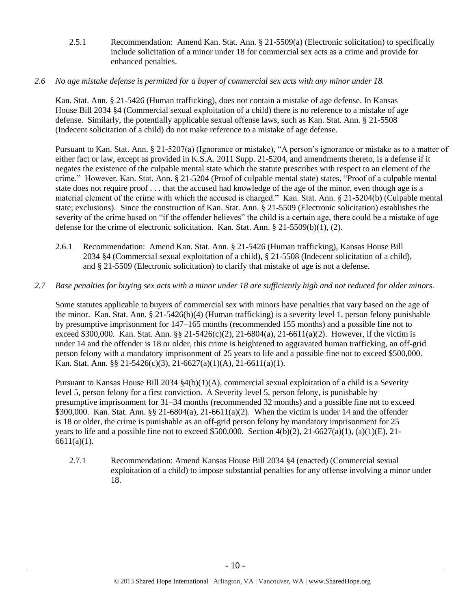- 2.5.1 Recommendation: Amend Kan. Stat. Ann. § 21-5509(a) (Electronic solicitation) to specifically include solicitation of a minor under 18 for commercial sex acts as a crime and provide for enhanced penalties.
- *2.6 No age mistake defense is permitted for a buyer of commercial sex acts with any minor under 18.*

Kan. Stat. Ann. § 21-5426 (Human trafficking), does not contain a mistake of age defense. In Kansas House Bill 2034 §4 (Commercial sexual exploitation of a child) there is no reference to a mistake of age defense. Similarly, the potentially applicable sexual offense laws, such as Kan. Stat. Ann. § 21-5508 (Indecent solicitation of a child) do not make reference to a mistake of age defense.

Pursuant to Kan. Stat. Ann. § 21-5207(a) (Ignorance or mistake), "A person's ignorance or mistake as to a matter of either fact or law, except as provided in K.S.A. 2011 Supp. 21-5204, and amendments thereto, is a defense if it negates the existence of the culpable mental state which the statute prescribes with respect to an element of the crime." However, Kan. Stat. Ann. § 21-5204 (Proof of culpable mental state) states, "Proof of a culpable mental state does not require proof . . . that the accused had knowledge of the age of the minor, even though age is a material element of the crime with which the accused is charged." Kan. Stat. Ann. § 21-5204(b) (Culpable mental state; exclusions). Since the construction of Kan. Stat. Ann. § 21-5509 (Electronic solicitation) establishes the severity of the crime based on "if the offender believes" the child is a certain age, there could be a mistake of age defense for the crime of electronic solicitation. Kan. Stat. Ann. § 21-5509(b)(1), (2).

- 2.6.1 Recommendation: Amend Kan. Stat. Ann. § 21-5426 (Human trafficking), Kansas House Bill 2034 §4 (Commercial sexual exploitation of a child), § 21-5508 (Indecent solicitation of a child), and § 21-5509 (Electronic solicitation) to clarify that mistake of age is not a defense.
- *2.7 Base penalties for buying sex acts with a minor under 18 are sufficiently high and not reduced for older minors.*

Some statutes applicable to buyers of commercial sex with minors have penalties that vary based on the age of the minor. Kan. Stat. Ann. § 21-5426(b)(4) (Human trafficking) is a severity level 1, person felony punishable by presumptive imprisonment for 147–165 months (recommended 155 months) and a possible fine not to exceed \$300,000. Kan. Stat. Ann. §§ 21-5426(c)(2), 21-6804(a), 21-6611(a)(2). However, if the victim is under 14 and the offender is 18 or older, this crime is heightened to aggravated human trafficking, an off-grid person felony with a mandatory imprisonment of 25 years to life and a possible fine not to exceed \$500,000. Kan. Stat. Ann. §§ 21-5426(c)(3), 21-6627(a)(1)(A), 21-6611(a)(1).

Pursuant to Kansas House Bill 2034 §4(b)(1)(A), commercial sexual exploitation of a child is a Severity level 5, person felony for a first conviction. A Severity level 5, person felony, is punishable by presumptive imprisonment for 31–34 months (recommended 32 months) and a possible fine not to exceed \$300,000. Kan. Stat. Ann. §§ 21-6804(a), 21-6611(a)(2). When the victim is under 14 and the offender is 18 or older, the crime is punishable as an off-grid person felony by mandatory imprisonment for 25 years to life and a possible fine not to exceed \$500,000. Section  $4(b)(2)$ ,  $21-6627(a)(1)$ ,  $(a)(1)(E)$ ,  $21-$ 6611(a)(1).

2.7.1 Recommendation: Amend Kansas House Bill 2034 §4 (enacted) (Commercial sexual exploitation of a child) to impose substantial penalties for any offense involving a minor under 18.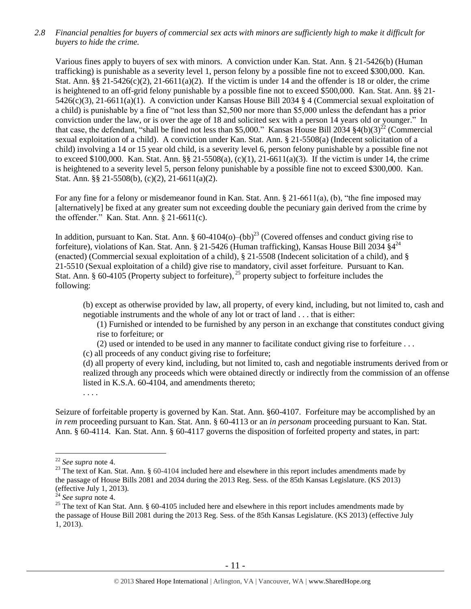*2.8 Financial penalties for buyers of commercial sex acts with minors are sufficiently high to make it difficult for buyers to hide the crime.* 

Various fines apply to buyers of sex with minors. A conviction under Kan. Stat. Ann. § 21-5426(b) (Human trafficking) is punishable as a severity level 1, person felony by a possible fine not to exceed \$300,000. Kan. Stat. Ann.  $\S$ § 21-5426(c)(2), 21-6611(a)(2). If the victim is under 14 and the offender is 18 or older, the crime is heightened to an off-grid felony punishable by a possible fine not to exceed \$500,000. Kan. Stat. Ann. §§ 21- 5426(c)(3), 21-6611(a)(1). A conviction under Kansas House Bill 2034 § 4 (Commercial sexual exploitation of a child) is punishable by a fine of "not less than \$2,500 nor more than \$5,000 unless the defendant has a prior conviction under the law, or is over the age of 18 and solicited sex with a person 14 years old or younger." In that case, the defendant, "shall be fined not less than \$5,000." Kansas House Bill 2034  $\S4(b)(3)^{22}$  (Commercial sexual exploitation of a child). A conviction under Kan. Stat. Ann. § 21-5508(a) (Indecent solicitation of a child) involving a 14 or 15 year old child, is a severity level 6, person felony punishable by a possible fine not to exceed \$100,000. Kan. Stat. Ann. §§ 21-5508(a), (c)(1), 21-6611(a)(3). If the victim is under 14, the crime is heightened to a severity level 5, person felony punishable by a possible fine not to exceed \$300,000. Kan. Stat. Ann. §§ 21-5508(b), (c)(2), 21-6611(a)(2).

For any fine for a felony or misdemeanor found in Kan. Stat. Ann. § 21-6611(a), (b), "the fine imposed may [alternatively] be fixed at any greater sum not exceeding double the pecuniary gain derived from the crime by the offender." Kan. Stat. Ann. § 21-6611(c).

In addition, pursuant to Kan. Stat. Ann.  $\S 60-4104(o)$ – $(bb)^{23}$  (Covered offenses and conduct giving rise to forfeiture), violations of Kan. Stat. Ann. § 21-5426 (Human trafficking), Kansas House Bill 2034  $\S4^{24}$ (enacted) (Commercial sexual exploitation of a child), § 21-5508 (Indecent solicitation of a child), and § 21-5510 (Sexual exploitation of a child) give rise to mandatory, civil asset forfeiture. Pursuant to Kan. Stat. Ann. § 60-4105 (Property subject to forfeiture),  $^{25}$  property subject to forfeiture includes the following:

(b) except as otherwise provided by law, all property, of every kind, including, but not limited to, cash and negotiable instruments and the whole of any lot or tract of land . . . that is either:

<span id="page-10-1"></span><span id="page-10-0"></span>(1) Furnished or intended to be furnished by any person in an exchange that constitutes conduct giving rise to forfeiture; or

(2) used or intended to be used in any manner to facilitate conduct giving rise to forfeiture . . .

(c) all proceeds of any conduct giving rise to forfeiture;

(d) all property of every kind, including, but not limited to, cash and negotiable instruments derived from or realized through any proceeds which were obtained directly or indirectly from the commission of an offense listed in K.S.A. 60-4104, and amendments thereto;

. . . .

Seizure of forfeitable property is governed by Kan. Stat. Ann. §60-4107. Forfeiture may be accomplished by an *in rem* proceeding pursuant to Kan. Stat. Ann. § 60-4113 or an *in personam* proceeding pursuant to Kan. Stat. Ann. § 60-4114. Kan. Stat. Ann. § 60-4117 governs the disposition of forfeited property and states, in part:

<sup>22</sup> *See supra* note [4.](#page-1-0)

<sup>&</sup>lt;sup>23</sup> The text of Kan. Stat. Ann. § 60-4104 included here and elsewhere in this report includes amendments made by the passage of House Bills 2081 and 2034 during the 2013 Reg. Sess. of the 85th Kansas Legislature. (KS 2013) (effective July 1, 2013).

<sup>24</sup> *See supra* note [4.](#page-1-0)

<sup>&</sup>lt;sup>25</sup> The text of Kan Stat. Ann. § 60-4105 included here and elsewhere in this report includes amendments made by the passage of House Bill 2081 during the 2013 Reg. Sess. of the 85th Kansas Legislature. (KS 2013) (effective July 1, 2013).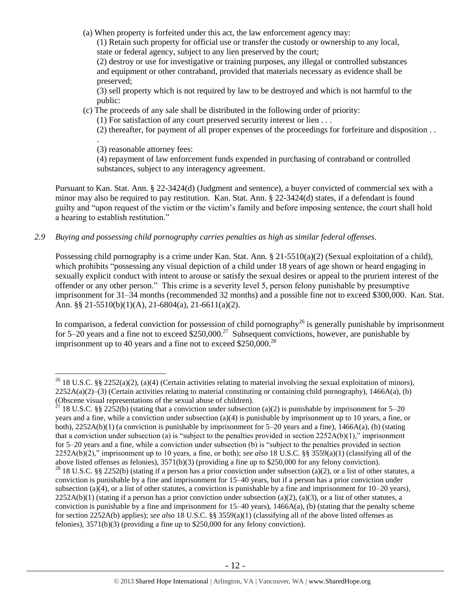(a) When property is forfeited under this act, the law enforcement agency may:

(1) Retain such property for official use or transfer the custody or ownership to any local, state or federal agency, subject to any lien preserved by the court;

(2) destroy or use for investigative or training purposes, any illegal or controlled substances and equipment or other contraband, provided that materials necessary as evidence shall be preserved;

(3) sell property which is not required by law to be destroyed and which is not harmful to the public:

(c) The proceeds of any sale shall be distributed in the following order of priority:

(1) For satisfaction of any court preserved security interest or lien . . .

(2) thereafter, for payment of all proper expenses of the proceedings for forfeiture and disposition . .

. (3) reasonable attorney fees:

 $\overline{a}$ 

(4) repayment of law enforcement funds expended in purchasing of contraband or controlled substances, subject to any interagency agreement.

Pursuant to Kan. Stat. Ann. § 22-3424(d) (Judgment and sentence), a buyer convicted of commercial sex with a minor may also be required to pay restitution. Kan. Stat. Ann. § 22-3424(d) states, if a defendant is found guilty and "upon request of the victim or the victim's family and before imposing sentence, the court shall hold a hearing to establish restitution."

# *2.9 Buying and possessing child pornography carries penalties as high as similar federal offenses.*

Possessing child pornography is a crime under Kan. Stat. Ann. § 21-5510(a)(2) (Sexual exploitation of a child), which prohibits "possessing any visual depiction of a child under 18 years of age shown or heard engaging in sexually explicit conduct with intent to arouse or satisfy the sexual desires or appeal to the prurient interest of the offender or any other person." This crime is a severity level 5, person felony punishable by presumptive imprisonment for 31–34 months (recommended 32 months) and a possible fine not to exceed \$300,000. Kan. Stat. Ann. §§ 21-5510(b)(1)(A), 21-6804(a), 21-6611(a)(2).

In comparison, a federal conviction for possession of child pornography<sup>26</sup> is generally punishable by imprisonment for 5–20 years and a fine not to exceed  $$250,000.<sup>27</sup>$  Subsequent convictions, however, are punishable by imprisonment up to 40 years and a fine not to exceed  $$250,000.<sup>28</sup>$ 

<sup>&</sup>lt;sup>26</sup> 18 U.S.C. §§ 2252(a)(2), (a)(4) (Certain activities relating to material involving the sexual exploitation of minors),  $2252A(a)(2)$ –(3) (Certain activities relating to material constituting or containing child pornography), 1466A(a), (b) (Obscene visual representations of the sexual abuse of children).

<sup>&</sup>lt;sup>27</sup> 18 U.S.C. §§ 2252(b) (stating that a conviction under subsection (a)(2) is punishable by imprisonment for 5–20 years and a fine, while a conviction under subsection (a)(4) is punishable by imprisonment up to 10 years, a fine, or both), 2252A(b)(1) (a conviction is punishable by imprisonment for 5–20 years and a fine), 1466A(a), (b) (stating that a conviction under subsection (a) is "subject to the penalties provided in section 2252A(b)(1)," imprisonment for 5–20 years and a fine, while a conviction under subsection (b) is "subject to the penalties provided in section 2252A(b)(2)," imprisonment up to 10 years, a fine, or both); *see also* 18 U.S.C. §§ 3559(a)(1) (classifying all of the above listed offenses as felonies), 3571(b)(3) (providing a fine up to \$250,000 for any felony conviction). <sup>28</sup> 18 U.S.C. §§ 2252(b) (stating if a person has a prior conviction under subsection (a)(2), or a list of other statutes, a conviction is punishable by a fine and imprisonment for 15–40 years, but if a person has a prior conviction under subsection (a)(4), or a list of other statutes, a conviction is punishable by a fine and imprisonment for  $10-20$  years),  $2252A(b)(1)$  (stating if a person has a prior conviction under subsection (a)(2), (a)(3), or a list of other statutes, a conviction is punishable by a fine and imprisonment for  $15-40$  years),  $1466A(a)$ , (b) (stating that the penalty scheme for section 2252A(b) applies); *see also* 18 U.S.C. §§ 3559(a)(1) (classifying all of the above listed offenses as felonies), 3571(b)(3) (providing a fine up to \$250,000 for any felony conviction).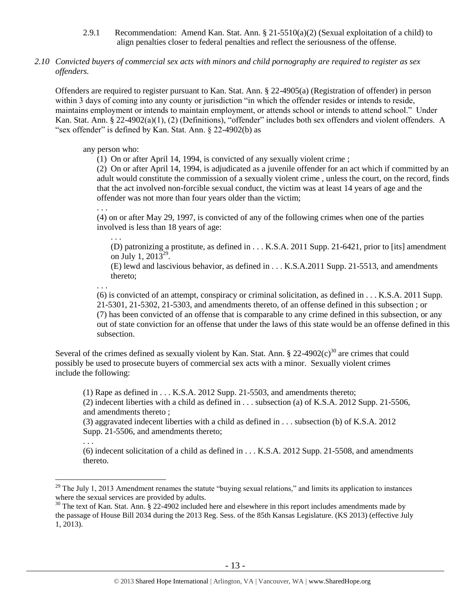- 2.9.1 Recommendation: Amend Kan. Stat. Ann.  $\S 21-5510(a)(2)$  (Sexual exploitation of a child) to align penalties closer to federal penalties and reflect the seriousness of the offense.
- *2.10 Convicted buyers of commercial sex acts with minors and child pornography are required to register as sex offenders.*

Offenders are required to register pursuant to Kan. Stat. Ann. § 22-4905(a) (Registration of offender) in person within 3 days of coming into any county or jurisdiction "in which the offender resides or intends to reside, maintains employment or intends to maintain employment, or attends school or intends to attend school." Under Kan. Stat. Ann. § 22-4902(a)(1), (2) (Definitions), "offender" includes both sex offenders and violent offenders. A "sex offender" is defined by Kan. Stat. Ann. § 22-4902(b) as

#### any person who:

(1) On or after April 14, 1994, is convicted of any sexually violent crime ;

(2) On or after April 14, 1994, is adjudicated as a juvenile offender for an act which if committed by an adult would constitute the commission of a sexually violent crime , unless the court, on the record, finds that the act involved non-forcible sexual conduct, the victim was at least 14 years of age and the offender was not more than four years older than the victim;

(4) on or after May 29, 1997, is convicted of any of the following crimes when one of the parties involved is less than 18 years of age:

. . . (D) patronizing a prostitute, as defined in . . . K.S.A. 2011 Supp. 21-6421, prior to [its] amendment on July 1, 2013<sup>29</sup>.

<span id="page-12-1"></span><span id="page-12-0"></span>(E) lewd and lascivious behavior, as defined in . . . K.S.A.2011 Supp. 21-5513, and amendments thereto;

. . .

. . .

 $\overline{a}$ 

. . .

(6) is convicted of an attempt, conspiracy or criminal solicitation, as defined in . . . K.S.A. 2011 Supp. 21-5301, 21-5302, 21-5303, and amendments thereto, of an offense defined in this subsection ; or (7) has been convicted of an offense that is comparable to any crime defined in this subsection, or any out of state conviction for an offense that under the laws of this state would be an offense defined in this subsection.

Several of the crimes defined as sexually violent by Kan. Stat. Ann. § 22-4902 $(c)^{30}$  are crimes that could possibly be used to prosecute buyers of commercial sex acts with a minor. Sexually violent crimes include the following:

(1) Rape as defined in  $\dots$  K.S.A. 2012 Supp. 21-5503, and amendments thereto;

(2) indecent liberties with a child as defined in . . . subsection (a) of K.S.A. 2012 Supp. 21-5506, and amendments thereto ;

(3) aggravated indecent liberties with a child as defined in . . . subsection (b) of K.S.A. 2012 Supp. 21-5506, and amendments thereto;

(6) indecent solicitation of a child as defined in . . . K.S.A. 2012 Supp. 21-5508, and amendments thereto.

 $^{29}$  The July 1, 2013 Amendment renames the statute "buying sexual relations," and limits its application to instances where the sexual services are provided by adults.

<sup>&</sup>lt;sup>30</sup> The text of Kan. Stat. Ann. § 22-4902 included here and elsewhere in this report includes amendments made by the passage of House Bill 2034 during the 2013 Reg. Sess. of the 85th Kansas Legislature. (KS 2013) (effective July 1, 2013).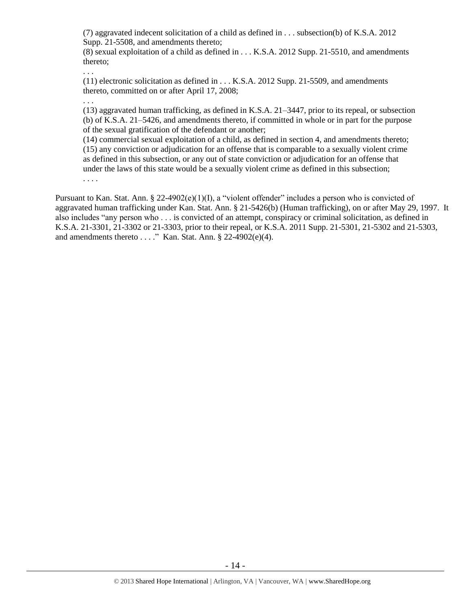(7) aggravated indecent solicitation of a child as defined in . . . subsection(b) of K.S.A. 2012 Supp. 21-5508, and amendments thereto;

(8) sexual exploitation of a child as defined in . . . K.S.A. 2012 Supp. 21-5510, and amendments thereto;

(11) electronic solicitation as defined in . . . K.S.A. 2012 Supp. 21-5509, and amendments thereto, committed on or after April 17, 2008;

. . .

. . .

(13) aggravated human trafficking, as defined in K.S.A. 21–3447, prior to its repeal, or subsection (b) of K.S.A. 21–5426, and amendments thereto, if committed in whole or in part for the purpose of the sexual gratification of the defendant or another;

(14) commercial sexual exploitation of a child, as defined in section 4, and amendments thereto; (15) any conviction or adjudication for an offense that is comparable to a sexually violent crime as defined in this subsection, or any out of state conviction or adjudication for an offense that under the laws of this state would be a sexually violent crime as defined in this subsection; . . . .

Pursuant to Kan. Stat. Ann. § 22-4902(e)(1)(I), a "violent offender" includes a person who is convicted of aggravated human trafficking under Kan. Stat. Ann. § 21-5426(b) (Human trafficking), on or after May 29, 1997. It also includes "any person who . . . is convicted of an attempt, conspiracy or criminal solicitation, as defined in K.S.A. 21-3301, 21-3302 or 21-3303, prior to their repeal, or K.S.A. 2011 Supp. 21-5301, 21-5302 and 21-5303, and amendments thereto  $\dots$ ." Kan. Stat. Ann. § 22-4902(e)(4).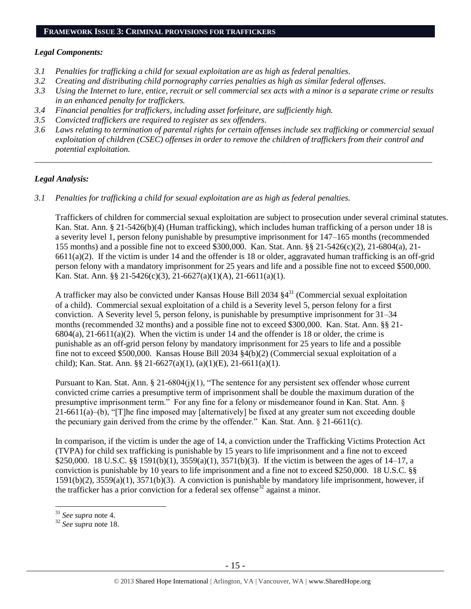#### **FRAMEWORK ISSUE 3: CRIMINAL PROVISIONS FOR TRAFFICKERS**

#### *Legal Components:*

- *3.1 Penalties for trafficking a child for sexual exploitation are as high as federal penalties.*
- *3.2 Creating and distributing child pornography carries penalties as high as similar federal offenses.*
- *3.3 Using the Internet to lure, entice, recruit or sell commercial sex acts with a minor is a separate crime or results in an enhanced penalty for traffickers.*
- *3.4 Financial penalties for traffickers, including asset forfeiture, are sufficiently high.*
- *3.5 Convicted traffickers are required to register as sex offenders.*
- *3.6 Laws relating to termination of parental rights for certain offenses include sex trafficking or commercial sexual exploitation of children (CSEC) offenses in order to remove the children of traffickers from their control and potential exploitation.*

*\_\_\_\_\_\_\_\_\_\_\_\_\_\_\_\_\_\_\_\_\_\_\_\_\_\_\_\_\_\_\_\_\_\_\_\_\_\_\_\_\_\_\_\_\_\_\_\_\_\_\_\_\_\_\_\_\_\_\_\_\_\_\_\_\_\_\_\_\_\_\_\_\_\_\_\_\_\_\_\_\_\_\_\_\_\_\_\_\_\_\_\_\_\_*

#### *Legal Analysis:*

*3.1 Penalties for trafficking a child for sexual exploitation are as high as federal penalties.* 

Traffickers of children for commercial sexual exploitation are subject to prosecution under several criminal statutes. Kan. Stat. Ann. § 21-5426(b)(4) (Human trafficking), which includes human trafficking of a person under 18 is a severity level 1, person felony punishable by presumptive imprisonment for 147–165 months (recommended 155 months) and a possible fine not to exceed \$300,000. Kan. Stat. Ann. §§ 21-5426(c)(2), 21-6804(a), 21-  $6611(a)(2)$ . If the victim is under 14 and the offender is 18 or older, aggravated human trafficking is an off-grid person felony with a mandatory imprisonment for 25 years and life and a possible fine not to exceed \$500,000. Kan. Stat. Ann. §§ 21-5426(c)(3), 21-6627(a)(1)(A), 21-6611(a)(1).

A trafficker may also be convicted under Kansas House Bill 2034  $\S4^{31}$  (Commercial sexual exploitation of a child). Commercial sexual exploitation of a child is a Severity level 5, person felony for a first conviction. A Severity level 5, person felony, is punishable by presumptive imprisonment for 31–34 months (recommended 32 months) and a possible fine not to exceed \$300,000. Kan. Stat. Ann. §§ 21-  $6804(a)$ ,  $21-6611(a)(2)$ . When the victim is under 14 and the offender is 18 or older, the crime is punishable as an off-grid person felony by mandatory imprisonment for 25 years to life and a possible fine not to exceed \$500,000. Kansas House Bill 2034 §4(b)(2) (Commercial sexual exploitation of a child); Kan. Stat. Ann. §§ 21-6627(a)(1), (a)(1)(E), 21-6611(a)(1).

Pursuant to Kan. Stat. Ann. § 21-6804(j)(1), "The sentence for any persistent sex offender whose current convicted crime carries a presumptive term of imprisonment shall be double the maximum duration of the presumptive imprisonment term." For any fine for a felony or misdemeanor found in Kan. Stat. Ann. §  $21-6611(a)$ –(b), "[T]he fine imposed may [alternatively] be fixed at any greater sum not exceeding double the pecuniary gain derived from the crime by the offender." Kan. Stat. Ann. § 21-6611(c).

In comparison, if the victim is under the age of 14, a conviction under the Trafficking Victims Protection Act (TVPA) for child sex trafficking is punishable by 15 years to life imprisonment and a fine not to exceed \$250,000. 18 U.S.C. §§ 1591(b)(1), 3559(a)(1), 3571(b)(3). If the victim is between the ages of 14–17, a conviction is punishable by 10 years to life imprisonment and a fine not to exceed \$250,000. 18 U.S.C. §§ 1591(b)(2), 3559(a)(1), 3571(b)(3). A conviction is punishable by mandatory life imprisonment, however, if the trafficker has a prior conviction for a federal sex offense<sup>32</sup> against a minor.

<sup>31</sup> *See supra* note [4.](#page-1-0)

<sup>32</sup> *See supra* note [18.](#page-8-0)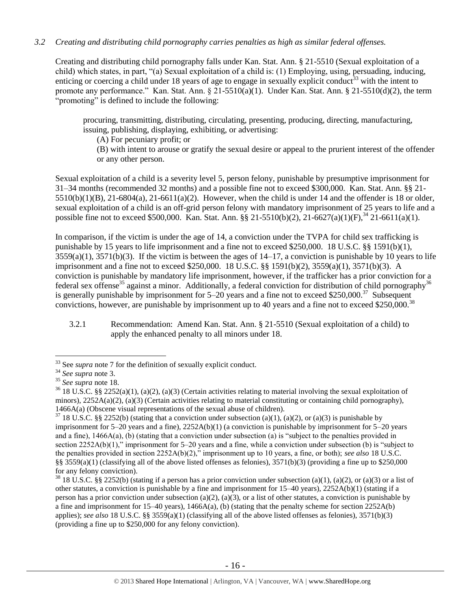# *3.2 Creating and distributing child pornography carries penalties as high as similar federal offenses.*

Creating and distributing child pornography falls under Kan. Stat. Ann. § 21-5510 (Sexual exploitation of a child) which states, in part, "(a) Sexual exploitation of a child is: (1) Employing, using, persuading, inducing, enticing or coercing a child under 18 years of age to engage in sexually explicit conduct<sup>33</sup> with the intent to promote any performance." Kan. Stat. Ann. § 21-5510(a)(1). Under Kan. Stat. Ann. § 21-5510(d)(2), the term "promoting" is defined to include the following:

procuring, transmitting, distributing, circulating, presenting, producing, directing, manufacturing, issuing, publishing, displaying, exhibiting, or advertising:

(A) For pecuniary profit; or

(B) with intent to arouse or gratify the sexual desire or appeal to the prurient interest of the offender or any other person.

Sexual exploitation of a child is a severity level 5, person felony, punishable by presumptive imprisonment for 31–34 months (recommended 32 months) and a possible fine not to exceed \$300,000. Kan. Stat. Ann. §§ 21-  $5510(b)(1)(B)$ ,  $21-6804(a)$ ,  $21-6611(a)(2)$ . However, when the child is under 14 and the offender is 18 or older, sexual exploitation of a child is an off-grid person felony with mandatory imprisonment of 25 years to life and a possible fine not to exceed \$500,000. Kan. Stat. Ann.  $\frac{8}{5}$  21-5510(b)(2), 21-6627(a)(1)(F),  $\frac{34}{21}$ -6611(a)(1).

In comparison, if the victim is under the age of 14, a conviction under the TVPA for child sex trafficking is punishable by 15 years to life imprisonment and a fine not to exceed \$250,000. 18 U.S.C. §§ 1591(b)(1),  $3559(a)(1)$ ,  $3571(b)(3)$ . If the victim is between the ages of  $14-17$ , a conviction is punishable by 10 years to life imprisonment and a fine not to exceed \$250,000. 18 U.S.C. §§ 1591(b)(2), 3559(a)(1), 3571(b)(3). A conviction is punishable by mandatory life imprisonment, however, if the trafficker has a prior conviction for a federal sex offense<sup>35</sup> against a minor. Additionally, a federal conviction for distribution of child pornography<sup>36</sup> is generally punishable by imprisonment for 5–20 years and a fine not to exceed \$250,000.<sup>37</sup> Subsequent convictions, however, are punishable by imprisonment up to 40 years and a fine not to exceed \$250,000.<sup>38</sup>

3.2.1 Recommendation: Amend Kan. Stat. Ann. § 21-5510 (Sexual exploitation of a child) to apply the enhanced penalty to all minors under 18.

<sup>&</sup>lt;sup>33</sup> See *supra* note [7](#page-2-0) for the definition of sexually explicit conduct.

<sup>34</sup> *See supra* note [3.](#page-1-1)

<sup>35</sup> *See supra* note [18.](#page-8-0)

<sup>&</sup>lt;sup>36</sup> 18 U.S.C. §§ 2252(a)(1), (a)(2), (a)(3) (Certain activities relating to material involving the sexual exploitation of minors),  $2252A(a)(2)$ ,  $(a)(3)$  (Certain activities relating to material constituting or containing child pornography), 1466A(a) (Obscene visual representations of the sexual abuse of children).

 $37$  18 U.S.C. §§ 2252(b) (stating that a conviction under subsection (a)(1), (a)(2), or (a)(3) is punishable by imprisonment for  $5-20$  years and a fine),  $2252A(b)(1)$  (a conviction is punishable by imprisonment for  $5-20$  years and a fine),  $1466A(a)$ , (b) (stating that a conviction under subsection (a) is "subject to the penalties provided in section 2252A(b)(1)," imprisonment for 5–20 years and a fine, while a conviction under subsection (b) is "subject to the penalties provided in section 2252A(b)(2)," imprisonment up to 10 years, a fine, or both); *see also* 18 U.S.C. §§  $3559(a)(1)$  (classifying all of the above listed offenses as felonies),  $3571(b)(3)$  (providing a fine up to \$250,000 for any felony conviction).

 $38\,18\,$  U.S.C. §§ 2252(b) (stating if a person has a prior conviction under subsection (a)(1), (a)(2), or (a)(3) or a list of other statutes, a conviction is punishable by a fine and imprisonment for  $15-40$  years),  $2252A(b)(1)$  (stating if a person has a prior conviction under subsection (a)(2), (a)(3), or a list of other statutes, a conviction is punishable by a fine and imprisonment for  $15-40$  years),  $1466A(a)$ , (b) (stating that the penalty scheme for section  $2252A(b)$ applies); *see also* 18 U.S.C. §§ 3559(a)(1) (classifying all of the above listed offenses as felonies), 3571(b)(3) (providing a fine up to \$250,000 for any felony conviction).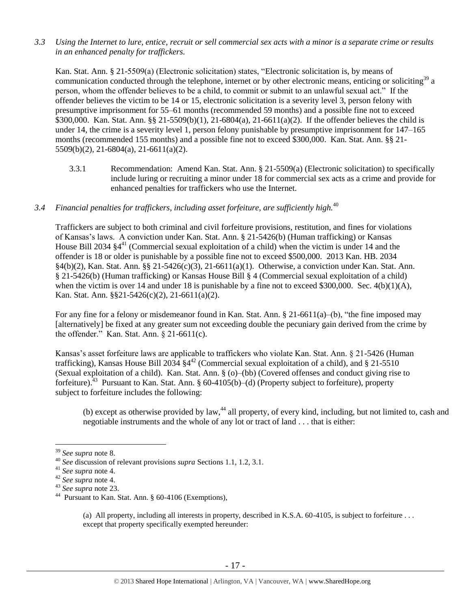*3.3 Using the Internet to lure, entice, recruit or sell commercial sex acts with a minor is a separate crime or results in an enhanced penalty for traffickers.*

Kan. Stat. Ann. § 21-5509(a) (Electronic solicitation) states, "Electronic solicitation is, by means of communication conducted through the telephone, internet or by other electronic means, enticing or soliciting<sup>39</sup> a person, whom the offender believes to be a child, to commit or submit to an unlawful sexual act." If the offender believes the victim to be 14 or 15, electronic solicitation is a severity level 3, person felony with presumptive imprisonment for 55–61 months (recommended 59 months) and a possible fine not to exceed \$300,000. Kan. Stat. Ann. §§ 21-5509(b)(1), 21-6804(a), 21-6611(a)(2). If the offender believes the child is under 14, the crime is a severity level 1, person felony punishable by presumptive imprisonment for 147–165 months (recommended 155 months) and a possible fine not to exceed \$300,000. Kan. Stat. Ann. §§ 21- 5509(b)(2), 21-6804(a), 21-6611(a)(2).

3.3.1 Recommendation: Amend Kan. Stat. Ann. § 21-5509(a) (Electronic solicitation) to specifically include luring or recruiting a minor under 18 for commercial sex acts as a crime and provide for enhanced penalties for traffickers who use the Internet.

## *3.4 Financial penalties for traffickers, including asset forfeiture, are sufficiently high.*<sup>40</sup>

Traffickers are subject to both criminal and civil forfeiture provisions, restitution, and fines for violations of Kansas's laws. A conviction under Kan. Stat. Ann. § 21-5426(b) (Human trafficking) or Kansas House Bill 2034 §4<sup>41</sup> (Commercial sexual exploitation of a child) when the victim is under 14 and the offender is 18 or older is punishable by a possible fine not to exceed \$500,000. 2013 Kan. HB. 2034 §4(b)(2), Kan. Stat. Ann. §§ 21-5426(c)(3), 21-6611(a)(1). Otherwise, a conviction under Kan. Stat. Ann. § 21-5426(b) (Human trafficking) or Kansas House Bill § 4 (Commercial sexual exploitation of a child) when the victim is over 14 and under 18 is punishable by a fine not to exceed \$300,000. Sec.  $4(b)(1)(A)$ , Kan. Stat. Ann. §§21-5426(c)(2), 21-6611(a)(2).

For any fine for a felony or misdemeanor found in Kan. Stat. Ann. § 21-6611(a)–(b), "the fine imposed may [alternatively] be fixed at any greater sum not exceeding double the pecuniary gain derived from the crime by the offender." Kan. Stat. Ann. § 21-6611(c).

Kansas's asset forfeiture laws are applicable to traffickers who violate Kan. Stat. Ann. § 21-5426 (Human trafficking), Kansas House Bill 2034 §4 <sup>42</sup> (Commercial sexual exploitation of a child), and § 21-5510 (Sexual exploitation of a child). Kan. Stat. Ann. § (o)–(bb) (Covered offenses and conduct giving rise to forfeiture).<sup>43</sup> Pursuant to Kan. Stat. Ann. § 60-4105(b)–(d) (Property subject to forfeiture), property subject to forfeiture includes the following:

<span id="page-16-0"></span>(b) except as otherwise provided by law,<sup>44</sup> all property, of every kind, including, but not limited to, cash and negotiable instruments and the whole of any lot or tract of land . . . that is either:

 $\overline{a}$ 

(a) All property, including all interests in property, described in K.S.A. 60-4105, is subject to forfeiture . . . except that property specifically exempted hereunder:

<sup>39</sup> *See supra* note [8.](#page-3-0)

<sup>40</sup> *See* discussion of relevant provisions *supra* Sections 1.1, 1.2, 3.1.

<sup>41</sup> *See supra* note [4.](#page-1-0)

<sup>42</sup> *See supra* note [4.](#page-1-0)

<sup>43</sup> *See supra* note [23.](#page-10-0)

<sup>44</sup> Pursuant to Kan. Stat. Ann. § 60-4106 (Exemptions),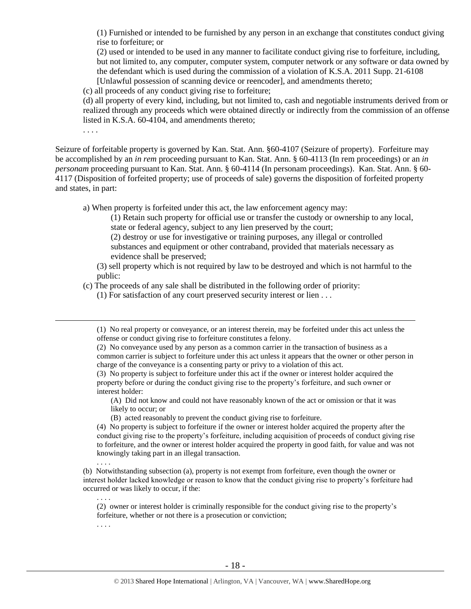(1) Furnished or intended to be furnished by any person in an exchange that constitutes conduct giving rise to forfeiture; or

(2) used or intended to be used in any manner to facilitate conduct giving rise to forfeiture, including, but not limited to, any computer, computer system, computer network or any software or data owned by the defendant which is used during the commission of a violation of K.S.A. 2011 Supp. 21-6108 [Unlawful possession of scanning device or reencoder], and amendments thereto;

(c) all proceeds of any conduct giving rise to forfeiture;

(d) all property of every kind, including, but not limited to, cash and negotiable instruments derived from or realized through any proceeds which were obtained directly or indirectly from the commission of an offense listed in K.S.A. 60-4104, and amendments thereto;

. . . .

 $\overline{a}$ 

. . . .

. . . .

. . . .

Seizure of forfeitable property is governed by Kan. Stat. Ann. §60-4107 (Seizure of property). Forfeiture may be accomplished by an *in rem* proceeding pursuant to Kan. Stat. Ann. § 60-4113 (In rem proceedings) or an *in personam* proceeding pursuant to Kan. Stat. Ann. § 60-4114 (In personam proceedings). Kan. Stat. Ann. § 60- 4117 (Disposition of forfeited property; use of proceeds of sale) governs the disposition of forfeited property and states, in part:

a) When property is forfeited under this act, the law enforcement agency may:

(1) Retain such property for official use or transfer the custody or ownership to any local, state or federal agency, subject to any lien preserved by the court;

(2) destroy or use for investigative or training purposes, any illegal or controlled substances and equipment or other contraband, provided that materials necessary as evidence shall be preserved;

(3) sell property which is not required by law to be destroyed and which is not harmful to the public:

(c) The proceeds of any sale shall be distributed in the following order of priority:

(1) For satisfaction of any court preserved security interest or lien . . .

(1) No real property or conveyance, or an interest therein, may be forfeited under this act unless the offense or conduct giving rise to forfeiture constitutes a felony.

(2) No conveyance used by any person as a common carrier in the transaction of business as a common carrier is subject to forfeiture under this act unless it appears that the owner or other person in charge of the conveyance is a consenting party or privy to a violation of this act.

(3) No property is subject to forfeiture under this act if the owner or interest holder acquired the property before or during the conduct giving rise to the property's forfeiture, and such owner or interest holder:

(A) Did not know and could not have reasonably known of the act or omission or that it was likely to occur; or

(B) acted reasonably to prevent the conduct giving rise to forfeiture.

(4) No property is subject to forfeiture if the owner or interest holder acquired the property after the conduct giving rise to the property's forfeiture, including acquisition of proceeds of conduct giving rise to forfeiture, and the owner or interest holder acquired the property in good faith, for value and was not knowingly taking part in an illegal transaction.

(b) Notwithstanding subsection (a), property is not exempt from forfeiture, even though the owner or interest holder lacked knowledge or reason to know that the conduct giving rise to property's forfeiture had occurred or was likely to occur, if the:

(2) owner or interest holder is criminally responsible for the conduct giving rise to the property's forfeiture, whether or not there is a prosecution or conviction;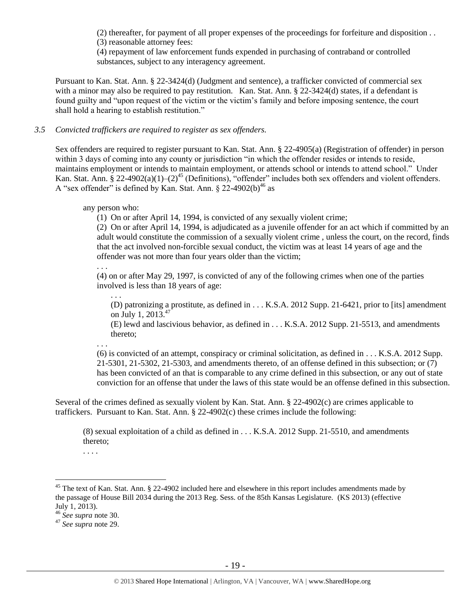(2) thereafter, for payment of all proper expenses of the proceedings for forfeiture and disposition . . (3) reasonable attorney fees:

(4) repayment of law enforcement funds expended in purchasing of contraband or controlled substances, subject to any interagency agreement.

Pursuant to Kan. Stat. Ann. § 22-3424(d) (Judgment and sentence), a trafficker convicted of commercial sex with a minor may also be required to pay restitution. Kan. Stat. Ann. § 22-3424(d) states, if a defendant is found guilty and "upon request of the victim or the victim's family and before imposing sentence, the court shall hold a hearing to establish restitution."

#### *3.5 Convicted traffickers are required to register as sex offenders.*

Sex offenders are required to register pursuant to Kan. Stat. Ann. § 22-4905(a) (Registration of offender) in person within 3 days of coming into any county or jurisdiction "in which the offender resides or intends to reside, maintains employment or intends to maintain employment, or attends school or intends to attend school." Under Kan. Stat. Ann. § 22-4902(a)(1)–(2)<sup>45</sup> (Definitions), "offender" includes both sex offenders and violent offenders. A "sex offender" is defined by Kan. Stat. Ann.  $\S$  22-4902(b)<sup>46</sup> as

any person who:

(1) On or after April 14, 1994, is convicted of any sexually violent crime;

(2) On or after April 14, 1994, is adjudicated as a juvenile offender for an act which if committed by an adult would constitute the commission of a sexually violent crime , unless the court, on the record, finds that the act involved non-forcible sexual conduct, the victim was at least 14 years of age and the offender was not more than four years older than the victim;

. . .

. . .

(4) on or after May 29, 1997, is convicted of any of the following crimes when one of the parties involved is less than 18 years of age:

(D) patronizing a prostitute, as defined in . . . K.S.A. 2012 Supp. 21-6421, prior to [its] amendment on July 1, 2013. 47

(E) lewd and lascivious behavior, as defined in . . . K.S.A. 2012 Supp. 21-5513, and amendments thereto;

. . .

(6) is convicted of an attempt, conspiracy or criminal solicitation, as defined in . . . K.S.A. 2012 Supp. 21-5301, 21-5302, 21-5303, and amendments thereto, of an offense defined in this subsection; or (7) has been convicted of an that is comparable to any crime defined in this subsection, or any out of state conviction for an offense that under the laws of this state would be an offense defined in this subsection.

Several of the crimes defined as sexually violent by Kan. Stat. Ann. § 22-4902(c) are crimes applicable to traffickers. Pursuant to Kan. Stat. Ann. § 22-4902(c) these crimes include the following:

(8) sexual exploitation of a child as defined in . . . K.S.A. 2012 Supp. 21-5510, and amendments thereto;

. . . .

<sup>&</sup>lt;sup>45</sup> The text of Kan. Stat. Ann. § 22-4902 included here and elsewhere in this report includes amendments made by the passage of House Bill 2034 during the 2013 Reg. Sess. of the 85th Kansas Legislature. (KS 2013) (effective July 1, 2013).

<sup>46</sup> *See supra* note [30.](#page-12-0)

<sup>47</sup> *See supra* note [29.](#page-12-1)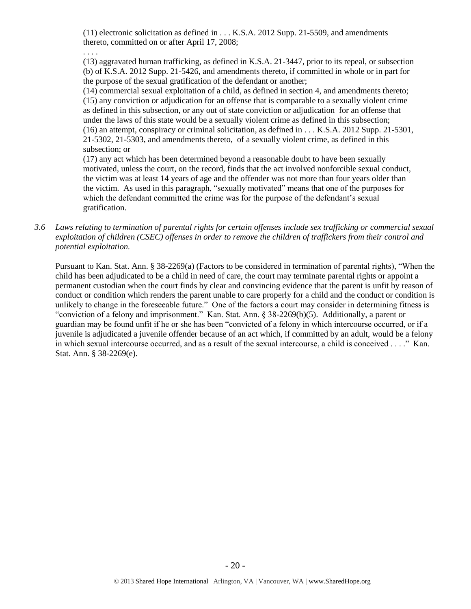(11) electronic solicitation as defined in . . . K.S.A. 2012 Supp. 21-5509, and amendments thereto, committed on or after April 17, 2008;

#### . . . .

(13) aggravated human trafficking, as defined in K.S.A. 21-3447, prior to its repeal, or subsection (b) of K.S.A. 2012 Supp. 21-5426, and amendments thereto, if committed in whole or in part for the purpose of the sexual gratification of the defendant or another;

(14) commercial sexual exploitation of a child, as defined in section 4, and amendments thereto; (15) any conviction or adjudication for an offense that is comparable to a sexually violent crime as defined in this subsection, or any out of state conviction or adjudication for an offense that under the laws of this state would be a sexually violent crime as defined in this subsection; (16) an attempt, conspiracy or criminal solicitation, as defined in . . . K.S.A. 2012 Supp. 21-5301, 21-5302, 21-5303, and amendments thereto, of a sexually violent crime, as defined in this subsection; or

(17) any act which has been determined beyond a reasonable doubt to have been sexually motivated, unless the court, on the record, finds that the act involved nonforcible sexual conduct, the victim was at least 14 years of age and the offender was not more than four years older than the victim. As used in this paragraph, "sexually motivated" means that one of the purposes for which the defendant committed the crime was for the purpose of the defendant's sexual gratification.

*3.6 Laws relating to termination of parental rights for certain offenses include sex trafficking or commercial sexual exploitation of children (CSEC) offenses in order to remove the children of traffickers from their control and potential exploitation.* 

Pursuant to Kan. Stat. Ann. § 38-2269(a) (Factors to be considered in termination of parental rights), "When the child has been adjudicated to be a child in need of care, the court may terminate parental rights or appoint a permanent custodian when the court finds by clear and convincing evidence that the parent is unfit by reason of conduct or condition which renders the parent unable to care properly for a child and the conduct or condition is unlikely to change in the foreseeable future." One of the factors a court may consider in determining fitness is "conviction of a felony and imprisonment." Kan. Stat. Ann. § 38-2269(b)(5). Additionally, a parent or guardian may be found unfit if he or she has been "convicted of a felony in which intercourse occurred, or if a juvenile is adjudicated a juvenile offender because of an act which, if committed by an adult, would be a felony in which sexual intercourse occurred, and as a result of the sexual intercourse, a child is conceived . . . ." Kan. Stat. Ann. § 38-2269(e).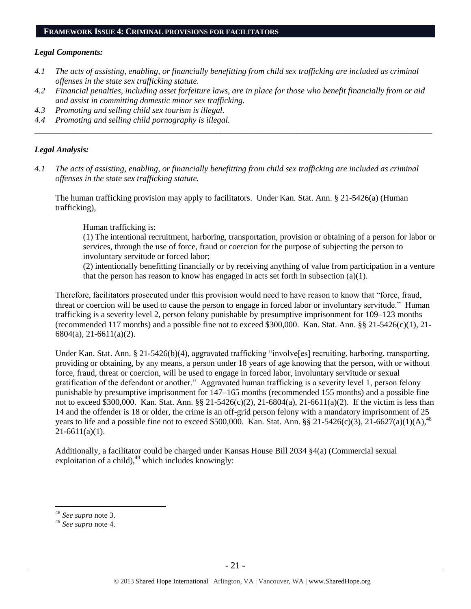#### **FRAMEWORK ISSUE 4: CRIMINAL PROVISIONS FOR FACILITATORS**

#### *Legal Components:*

- *4.1 The acts of assisting, enabling, or financially benefitting from child sex trafficking are included as criminal offenses in the state sex trafficking statute.*
- *4.2 Financial penalties, including asset forfeiture laws, are in place for those who benefit financially from or aid and assist in committing domestic minor sex trafficking.*

*\_\_\_\_\_\_\_\_\_\_\_\_\_\_\_\_\_\_\_\_\_\_\_\_\_\_\_\_\_\_\_\_\_\_\_\_\_\_\_\_\_\_\_\_\_\_\_\_\_\_\_\_\_\_\_\_\_\_\_\_\_\_\_\_\_\_\_\_\_\_\_\_\_\_\_\_\_\_\_\_\_\_\_\_\_\_\_\_\_\_\_\_\_\_*

- *4.3 Promoting and selling child sex tourism is illegal.*
- *4.4 Promoting and selling child pornography is illegal.*

#### *Legal Analysis:*

*4.1 The acts of assisting, enabling, or financially benefitting from child sex trafficking are included as criminal offenses in the state sex trafficking statute.*

The human trafficking provision may apply to facilitators. Under Kan. Stat. Ann. § 21-5426(a) (Human trafficking),

Human trafficking is:

(1) The intentional recruitment, harboring, transportation, provision or obtaining of a person for labor or services, through the use of force, fraud or coercion for the purpose of subjecting the person to involuntary servitude or forced labor;

(2) intentionally benefitting financially or by receiving anything of value from participation in a venture that the person has reason to know has engaged in acts set forth in subsection (a)(1).

Therefore, facilitators prosecuted under this provision would need to have reason to know that "force, fraud, threat or coercion will be used to cause the person to engage in forced labor or involuntary servitude." Human trafficking is a severity level 2, person felony punishable by presumptive imprisonment for 109–123 months (recommended 117 months) and a possible fine not to exceed \$300,000. Kan. Stat. Ann. §§ 21-5426(c)(1), 21- 6804(a), 21-6611(a)(2).

Under Kan. Stat. Ann. § 21-5426(b)(4), aggravated trafficking "involve[es] recruiting, harboring, transporting, providing or obtaining, by any means, a person under 18 years of age knowing that the person, with or without force, fraud, threat or coercion, will be used to engage in forced labor, involuntary servitude or sexual gratification of the defendant or another." Aggravated human trafficking is a severity level 1, person felony punishable by presumptive imprisonment for 147–165 months (recommended 155 months) and a possible fine not to exceed \$300,000. Kan. Stat. Ann. §§ 21-5426(c)(2), 21-6804(a), 21-6611(a)(2). If the victim is less than 14 and the offender is 18 or older, the crime is an off-grid person felony with a mandatory imprisonment of 25 years to life and a possible fine not to exceed \$500,000. Kan. Stat. Ann. §§ 21-5426(c)(3), 21-6627(a)(1)(A),<sup>48</sup>  $21-6611(a)(1)$ .

Additionally, a facilitator could be charged under Kansas House Bill 2034 §4(a) (Commercial sexual exploitation of a child), $49$  which includes knowingly:

<sup>48</sup> *See supra* note [3.](#page-1-1)

<sup>49</sup> *See supra* note [4.](#page-1-0)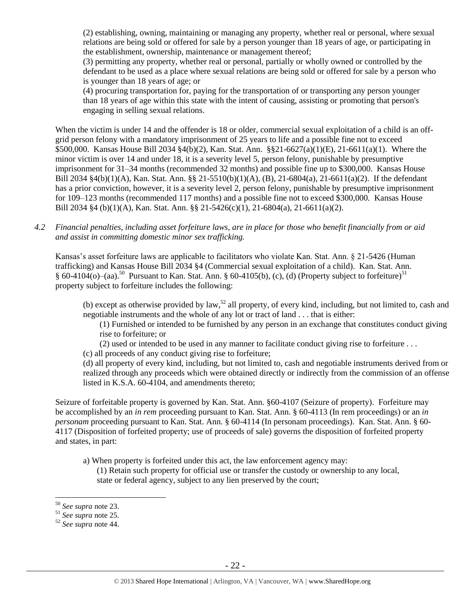(2) establishing, owning, maintaining or managing any property, whether real or personal, where sexual relations are being sold or offered for sale by a person younger than 18 years of age, or participating in the establishment, ownership, maintenance or management thereof;

(3) permitting any property, whether real or personal, partially or wholly owned or controlled by the defendant to be used as a place where sexual relations are being sold or offered for sale by a person who is younger than 18 years of age; or

(4) procuring transportation for, paying for the transportation of or transporting any person younger than 18 years of age within this state with the intent of causing, assisting or promoting that person's engaging in selling sexual relations.

When the victim is under 14 and the offender is 18 or older, commercial sexual exploitation of a child is an offgrid person felony with a mandatory imprisonment of 25 years to life and a possible fine not to exceed \$500,000. Kansas House Bill 2034 §4(b)(2), Kan. Stat. Ann. §§21-6627(a)(1)(E), 21-6611(a)(1). Where the minor victim is over 14 and under 18, it is a severity level 5, person felony, punishable by presumptive imprisonment for 31–34 months (recommended 32 months) and possible fine up to \$300,000. Kansas House Bill 2034 §4(b)(1)(A), Kan. Stat. Ann. §§ 21-5510(b)(1)(A), (B), 21-6804(a), 21-6611(a)(2). If the defendant has a prior conviction, however, it is a severity level 2, person felony, punishable by presumptive imprisonment for 109–123 months (recommended 117 months) and a possible fine not to exceed \$300,000. Kansas House Bill 2034 §4 (b)(1)(A), Kan. Stat. Ann. §§ 21-5426(c)(1), 21-6804(a), 21-6611(a)(2).

*4.2 Financial penalties, including asset forfeiture laws, are in place for those who benefit financially from or aid and assist in committing domestic minor sex trafficking.*

Kansas's asset forfeiture laws are applicable to facilitators who violate Kan. Stat. Ann. § 21-5426 (Human trafficking) and Kansas House Bill 2034 §4 (Commercial sexual exploitation of a child). Kan. Stat. Ann. § 60-4104(o)–(aa).<sup>50</sup> Pursuant to Kan. Stat. Ann. § 60-4105(b), (c), (d) (Property subject to forfeiture)<sup>51</sup> property subject to forfeiture includes the following:

(b) except as otherwise provided by law,<sup>52</sup> all property, of every kind, including, but not limited to, cash and negotiable instruments and the whole of any lot or tract of land . . . that is either:

(1) Furnished or intended to be furnished by any person in an exchange that constitutes conduct giving rise to forfeiture; or

(2) used or intended to be used in any manner to facilitate conduct giving rise to forfeiture . . .

(c) all proceeds of any conduct giving rise to forfeiture;

(d) all property of every kind, including, but not limited to, cash and negotiable instruments derived from or realized through any proceeds which were obtained directly or indirectly from the commission of an offense listed in K.S.A. 60-4104, and amendments thereto;

Seizure of forfeitable property is governed by Kan. Stat. Ann. §60-4107 (Seizure of property). Forfeiture may be accomplished by an *in rem* proceeding pursuant to Kan. Stat. Ann. § 60-4113 (In rem proceedings) or an *in personam* proceeding pursuant to Kan. Stat. Ann. § 60-4114 (In personam proceedings). Kan. Stat. Ann. § 60- 4117 (Disposition of forfeited property; use of proceeds of sale) governs the disposition of forfeited property and states, in part:

a) When property is forfeited under this act, the law enforcement agency may:

(1) Retain such property for official use or transfer the custody or ownership to any local, state or federal agency, subject to any lien preserved by the court;

<sup>50</sup> *See supra* note [23.](#page-10-0)

<sup>51</sup> *See supra* note [25.](#page-10-1)

<sup>52</sup> *See supra* note [44.](#page-16-0)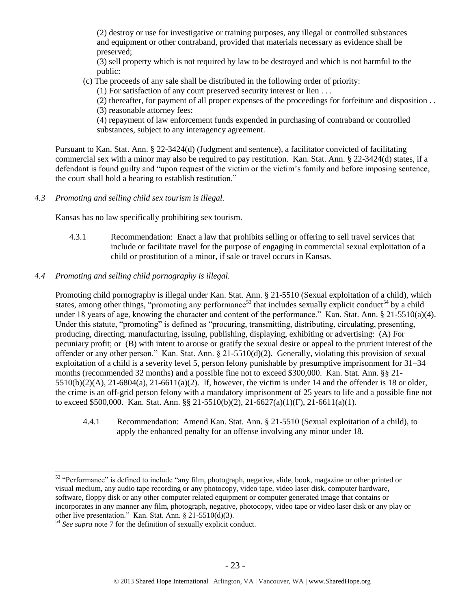(2) destroy or use for investigative or training purposes, any illegal or controlled substances and equipment or other contraband, provided that materials necessary as evidence shall be preserved;

(3) sell property which is not required by law to be destroyed and which is not harmful to the public:

(c) The proceeds of any sale shall be distributed in the following order of priority:

(1) For satisfaction of any court preserved security interest or lien . . .

(2) thereafter, for payment of all proper expenses of the proceedings for forfeiture and disposition . . (3) reasonable attorney fees:

(4) repayment of law enforcement funds expended in purchasing of contraband or controlled substances, subject to any interagency agreement.

Pursuant to Kan. Stat. Ann. § 22-3424(d) (Judgment and sentence), a facilitator convicted of facilitating commercial sex with a minor may also be required to pay restitution. Kan. Stat. Ann. § 22-3424(d) states, if a defendant is found guilty and "upon request of the victim or the victim's family and before imposing sentence, the court shall hold a hearing to establish restitution."

*4.3 Promoting and selling child sex tourism is illegal.*

Kansas has no law specifically prohibiting sex tourism.

- 4.3.1 Recommendation: Enact a law that prohibits selling or offering to sell travel services that include or facilitate travel for the purpose of engaging in commercial sexual exploitation of a child or prostitution of a minor, if sale or travel occurs in Kansas.
- *4.4 Promoting and selling child pornography is illegal.*

Promoting child pornography is illegal under Kan. Stat. Ann. § 21-5510 (Sexual exploitation of a child), which states, among other things, "promoting any performance<sup>53</sup> that includes sexually explicit conduct<sup>54</sup> by a child under 18 years of age, knowing the character and content of the performance." Kan. Stat. Ann. § 21-5510(a)(4). Under this statute, "promoting" is defined as "procuring, transmitting, distributing, circulating, presenting, producing, directing, manufacturing, issuing, publishing, displaying, exhibiting or advertising: (A) For pecuniary profit; or (B) with intent to arouse or gratify the sexual desire or appeal to the prurient interest of the offender or any other person." Kan. Stat. Ann. § 21-5510(d)(2). Generally, violating this provision of sexual exploitation of a child is a severity level 5, person felony punishable by presumptive imprisonment for 31–34 months (recommended 32 months) and a possible fine not to exceed \$300,000. Kan. Stat. Ann. §§ 21-  $5510(b)(2)(A)$ ,  $21-6804(a)$ ,  $21-6611(a)(2)$ . If, however, the victim is under 14 and the offender is 18 or older, the crime is an off-grid person felony with a mandatory imprisonment of 25 years to life and a possible fine not to exceed \$500,000. Kan. Stat. Ann. §§ 21-5510(b)(2), 21-6627(a)(1)(F), 21-6611(a)(1).

4.4.1 Recommendation: Amend Kan. Stat. Ann. § 21-5510 (Sexual exploitation of a child), to apply the enhanced penalty for an offense involving any minor under 18.

 $\overline{a}$ <sup>53</sup> "Performance" is defined to include "any film, photograph, negative, slide, book, magazine or other printed or visual medium, any audio tape recording or any photocopy, video tape, video laser disk, computer hardware, software, floppy disk or any other computer related equipment or computer generated image that contains or incorporates in any manner any film, photograph, negative, photocopy, video tape or video laser disk or any play or other live presentation." Kan. Stat. Ann. § 21-5510(d)(3).

<sup>54</sup> *See supra* note [7](#page-2-0) for the definition of sexually explicit conduct.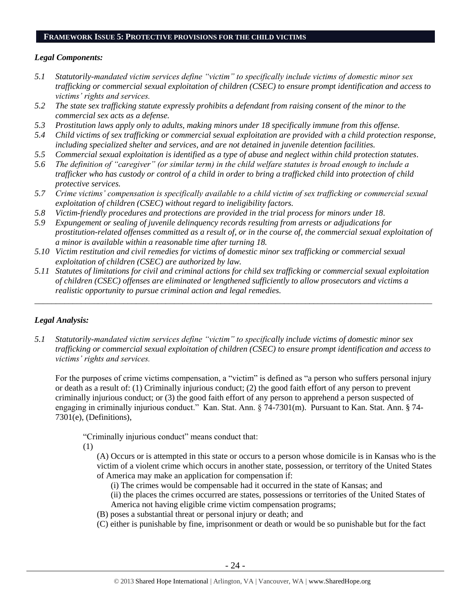#### **FRAMEWORK ISSUE 5: PROTECTIVE PROVISIONS FOR THE CHILD VICTIMS**

## *Legal Components:*

- *5.1 Statutorily-mandated victim services define "victim" to specifically include victims of domestic minor sex trafficking or commercial sexual exploitation of children (CSEC) to ensure prompt identification and access to victims' rights and services.*
- *5.2 The state sex trafficking statute expressly prohibits a defendant from raising consent of the minor to the commercial sex acts as a defense.*
- *5.3 Prostitution laws apply only to adults, making minors under 18 specifically immune from this offense.*
- *5.4 Child victims of sex trafficking or commercial sexual exploitation are provided with a child protection response, including specialized shelter and services, and are not detained in juvenile detention facilities.*
- *5.5 Commercial sexual exploitation is identified as a type of abuse and neglect within child protection statutes.*
- *5.6 The definition of "caregiver" (or similar term) in the child welfare statutes is broad enough to include a trafficker who has custody or control of a child in order to bring a trafficked child into protection of child protective services.*
- *5.7 Crime victims' compensation is specifically available to a child victim of sex trafficking or commercial sexual exploitation of children (CSEC) without regard to ineligibility factors.*
- *5.8 Victim-friendly procedures and protections are provided in the trial process for minors under 18.*
- *5.9 Expungement or sealing of juvenile delinquency records resulting from arrests or adjudications for prostitution-related offenses committed as a result of, or in the course of, the commercial sexual exploitation of a minor is available within a reasonable time after turning 18.*
- *5.10 Victim restitution and civil remedies for victims of domestic minor sex trafficking or commercial sexual exploitation of children (CSEC) are authorized by law.*
- *5.11 Statutes of limitations for civil and criminal actions for child sex trafficking or commercial sexual exploitation of children (CSEC) offenses are eliminated or lengthened sufficiently to allow prosecutors and victims a realistic opportunity to pursue criminal action and legal remedies.*

*\_\_\_\_\_\_\_\_\_\_\_\_\_\_\_\_\_\_\_\_\_\_\_\_\_\_\_\_\_\_\_\_\_\_\_\_\_\_\_\_\_\_\_\_\_\_\_\_\_\_\_\_\_\_\_\_\_\_\_\_\_\_\_\_\_\_\_\_\_\_\_\_\_\_\_\_\_\_\_\_\_\_\_\_\_\_\_\_\_\_\_\_\_\_*

# *Legal Analysis:*

*5.1 Statutorily-mandated victim services define "victim" to specifically include victims of domestic minor sex trafficking or commercial sexual exploitation of children (CSEC) to ensure prompt identification and access to victims' rights and services.* 

For the purposes of crime victims compensation, a "victim" is defined as "a person who suffers personal injury or death as a result of: (1) Criminally injurious conduct; (2) the good faith effort of any person to prevent criminally injurious conduct; or (3) the good faith effort of any person to apprehend a person suspected of engaging in criminally injurious conduct." Kan. Stat. Ann. § 74-7301(m). Pursuant to Kan. Stat. Ann. § 74- 7301(e), (Definitions),

"Criminally injurious conduct" means conduct that:

(1)

(A) Occurs or is attempted in this state or occurs to a person whose domicile is in Kansas who is the victim of a violent crime which occurs in another state, possession, or territory of the United States of America may make an application for compensation if:

(i) The crimes would be compensable had it occurred in the state of Kansas; and

(ii) the places the crimes occurred are states, possessions or territories of the United States of America not having eligible crime victim compensation programs;

- (B) poses a substantial threat or personal injury or death; and
- (C) either is punishable by fine, imprisonment or death or would be so punishable but for the fact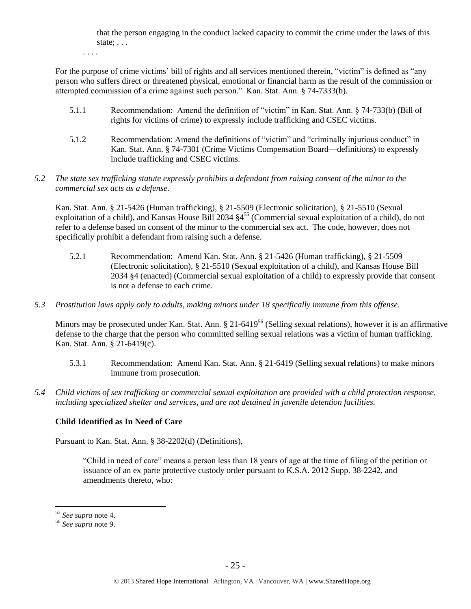that the person engaging in the conduct lacked capacity to commit the crime under the laws of this state; . . .

. . . .

For the purpose of crime victims' bill of rights and all services mentioned therein, "victim" is defined as "any person who suffers direct or threatened physical, emotional or financial harm as the result of the commission or attempted commission of a crime against such person." Kan. Stat. Ann. § 74-7333(b).

- 5.1.1 Recommendation: Amend the definition of "victim" in Kan. Stat. Ann. § 74-733(b) (Bill of rights for victims of crime) to expressly include trafficking and CSEC victims.
- 5.1.2 Recommendation: Amend the definitions of "victim" and "criminally injurious conduct" in Kan. Stat. Ann. § 74-7301 (Crime Victims Compensation Board—definitions) to expressly include trafficking and CSEC victims.
- *5.2 The state sex trafficking statute expressly prohibits a defendant from raising consent of the minor to the commercial sex acts as a defense.*

Kan. Stat. Ann. § 21-5426 (Human trafficking), § 21-5509 (Electronic solicitation), § 21-5510 (Sexual exploitation of a child), and Kansas House Bill 2034  $\S4^{55}$  (Commercial sexual exploitation of a child), do not refer to a defense based on consent of the minor to the commercial sex act. The code, however, does not specifically prohibit a defendant from raising such a defense.

- 5.2.1 Recommendation: Amend Kan. Stat. Ann. § 21-5426 (Human trafficking), § 21-5509 (Electronic solicitation), § 21-5510 (Sexual exploitation of a child), and Kansas House Bill 2034 §4 (enacted) (Commercial sexual exploitation of a child) to expressly provide that consent is not a defense to each crime.
- *5.3 Prostitution laws apply only to adults, making minors under 18 specifically immune from this offense.*

Minors may be prosecuted under Kan. Stat. Ann. § 21-6419<sup>56</sup> (Selling sexual relations), however it is an affirmative defense to the charge that the person who committed selling sexual relations was a victim of human trafficking. Kan. Stat. Ann. § 21-6419(c).

- 5.3.1 Recommendation: Amend Kan. Stat. Ann. § 21-6419 (Selling sexual relations) to make minors immune from prosecution.
- *5.4 Child victims of sex trafficking or commercial sexual exploitation are provided with a child protection response, including specialized shelter and services, and are not detained in juvenile detention facilities.*

# **Child Identified as In Need of Care**

Pursuant to Kan. Stat. Ann. § 38-2202(d) (Definitions),

"Child in need of care" means a person less than 18 years of age at the time of filing of the petition or issuance of an ex parte protective custody order pursuant to K.S.A. 2012 Supp. 38-2242, and amendments thereto, who:

<sup>55</sup> *See supra* note [4.](#page-1-0)

<sup>56</sup> *See supra* note [9.](#page-4-0)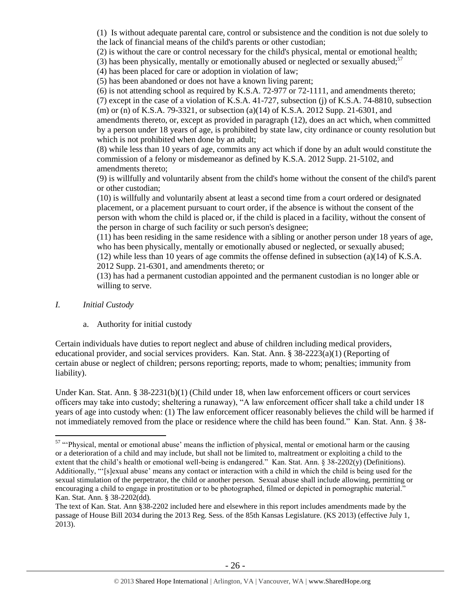(1) Is without adequate parental care, control or subsistence and the condition is not due solely to the lack of financial means of the child's parents or other custodian;

(2) is without the care or control necessary for the child's physical, mental or emotional health;

<span id="page-25-0"></span>(3) has been physically, mentally or emotionally abused or neglected or sexually abused;<sup>57</sup>

(4) has been placed for care or adoption in violation of law;

(5) has been abandoned or does not have a known living parent;

(6) is not attending school as required by K.S.A. 72-977 or 72-1111, and amendments thereto;

(7) except in the case of a violation of K.S.A. 41-727, subsection (j) of K.S.A. 74-8810, subsection (m) or (n) of K.S.A. 79-3321, or subsection (a)(14) of K.S.A. 2012 Supp. 21-6301, and

amendments thereto, or, except as provided in paragraph (12), does an act which, when committed by a person under 18 years of age, is prohibited by state law, city ordinance or county resolution but which is not prohibited when done by an adult;

(8) while less than 10 years of age, commits any act which if done by an adult would constitute the commission of a felony or misdemeanor as defined by K.S.A. 2012 Supp. 21-5102, and amendments thereto;

(9) is willfully and voluntarily absent from the child's home without the consent of the child's parent or other custodian;

(10) is willfully and voluntarily absent at least a second time from a court ordered or designated placement, or a placement pursuant to court order, if the absence is without the consent of the person with whom the child is placed or, if the child is placed in a facility, without the consent of the person in charge of such facility or such person's designee;

(11) has been residing in the same residence with a sibling or another person under 18 years of age, who has been physically, mentally or emotionally abused or neglected, or sexually abused;  $(12)$  while less than 10 years of age commits the offense defined in subsection  $(a)(14)$  of K.S.A.

2012 Supp. 21-6301, and amendments thereto; or

(13) has had a permanent custodian appointed and the permanent custodian is no longer able or willing to serve.

# *I. Initial Custody*

 $\overline{a}$ 

a. Authority for initial custody

Certain individuals have duties to report neglect and abuse of children including medical providers, educational provider, and social services providers. Kan. Stat. Ann. § 38-2223(a)(1) (Reporting of certain abuse or neglect of children; persons reporting; reports, made to whom; penalties; immunity from liability).

Under Kan. Stat. Ann. § 38-2231(b)(1) (Child under 18, when law enforcement officers or court services officers may take into custody; sheltering a runaway), "A law enforcement officer shall take a child under 18 years of age into custody when: (1) The law enforcement officer reasonably believes the child will be harmed if not immediately removed from the place or residence where the child has been found." Kan. Stat. Ann. § 38-

<sup>&</sup>lt;sup>57</sup> "Physical, mental or emotional abuse' means the infliction of physical, mental or emotional harm or the causing or a deterioration of a child and may include, but shall not be limited to, maltreatment or exploiting a child to the extent that the child's health or emotional well-being is endangered." Kan. Stat. Ann.  $\S$  38-2202(y) (Definitions). Additionally, "'[s]exual abuse' means any contact or interaction with a child in which the child is being used for the sexual stimulation of the perpetrator, the child or another person. Sexual abuse shall include allowing, permitting or encouraging a child to engage in prostitution or to be photographed, filmed or depicted in pornographic material." Kan. Stat. Ann. § 38-2202(dd).

The text of Kan. Stat. Ann §38-2202 included here and elsewhere in this report includes amendments made by the passage of House Bill 2034 during the 2013 Reg. Sess. of the 85th Kansas Legislature. (KS 2013) (effective July 1, 2013).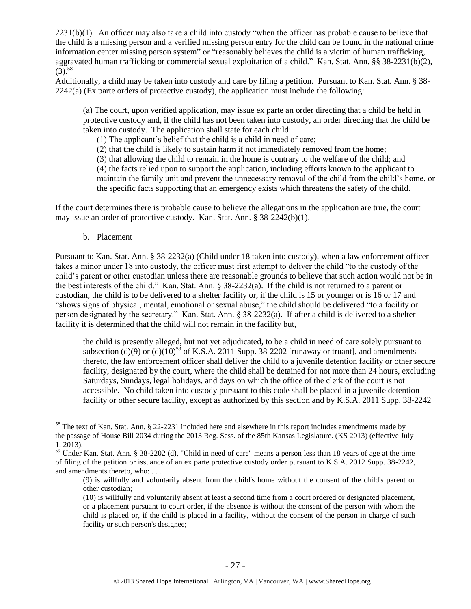2231(b)(1). An officer may also take a child into custody "when the officer has probable cause to believe that the child is a missing person and a verified missing person entry for the child can be found in the national crime information center missing person system" or "reasonably believes the child is a victim of human trafficking, aggravated human trafficking or commercial sexual exploitation of a child." Kan. Stat. Ann. §§ 38-2231(b)(2),  $(3)^{58}$ 

Additionally, a child may be taken into custody and care by filing a petition. Pursuant to Kan. Stat. Ann. § 38-  $2242(a)$  (Ex parte orders of protective custody), the application must include the following:

(a) The court, upon verified application, may issue ex parte an order directing that a child be held in protective custody and, if the child has not been taken into custody, an order directing that the child be taken into custody. The application shall state for each child:

(1) The applicant's belief that the child is a child in need of care;

(2) that the child is likely to sustain harm if not immediately removed from the home;

(3) that allowing the child to remain in the home is contrary to the welfare of the child; and

(4) the facts relied upon to support the application, including efforts known to the applicant to maintain the family unit and prevent the unnecessary removal of the child from the child's home, or the specific facts supporting that an emergency exists which threatens the safety of the child.

If the court determines there is probable cause to believe the allegations in the application are true, the court may issue an order of protective custody. Kan. Stat. Ann. § 38-2242(b)(1).

b. Placement

 $\overline{a}$ 

Pursuant to Kan. Stat. Ann. § 38-2232(a) (Child under 18 taken into custody), when a law enforcement officer takes a minor under 18 into custody, the officer must first attempt to deliver the child "to the custody of the child's parent or other custodian unless there are reasonable grounds to believe that such action would not be in the best interests of the child." Kan. Stat. Ann. § 38-2232(a). If the child is not returned to a parent or custodian, the child is to be delivered to a shelter facility or, if the child is 15 or younger or is 16 or 17 and "shows signs of physical, mental, emotional or sexual abuse," the child should be delivered "to a facility or person designated by the secretary." Kan. Stat. Ann. § 38-2232(a). If after a child is delivered to a shelter facility it is determined that the child will not remain in the facility but,

the child is presently alleged, but not yet adjudicated, to be a child in need of care solely pursuant to subsection  $(d)(9)$  or  $(d)(10)^{59}$  of K.S.A. 2011 Supp. 38-2202 [runaway or truant], and amendments thereto, the law enforcement officer shall deliver the child to a juvenile detention facility or other secure facility, designated by the court, where the child shall be detained for not more than 24 hours, excluding Saturdays, Sundays, legal holidays, and days on which the office of the clerk of the court is not accessible. No child taken into custody pursuant to this code shall be placed in a juvenile detention facility or other secure facility, except as authorized by this section and by K.S.A. 2011 Supp. 38-2242

<sup>&</sup>lt;sup>58</sup> The text of Kan. Stat. Ann. § 22-2231 included here and elsewhere in this report includes amendments made by the passage of House Bill 2034 during the 2013 Reg. Sess. of the 85th Kansas Legislature. (KS 2013) (effective July 1, 2013).

 $59$  Under Kan. Stat. Ann. § 38-2202 (d), "Child in need of care" means a person less than 18 years of age at the time of filing of the petition or issuance of an ex parte protective custody order pursuant to K.S.A. 2012 Supp. 38-2242, and amendments thereto, who: . . . .

<sup>(9)</sup> is willfully and voluntarily absent from the child's home without the consent of the child's parent or other custodian;

<sup>(10)</sup> is willfully and voluntarily absent at least a second time from a court ordered or designated placement, or a placement pursuant to court order, if the absence is without the consent of the person with whom the child is placed or, if the child is placed in a facility, without the consent of the person in charge of such facility or such person's designee;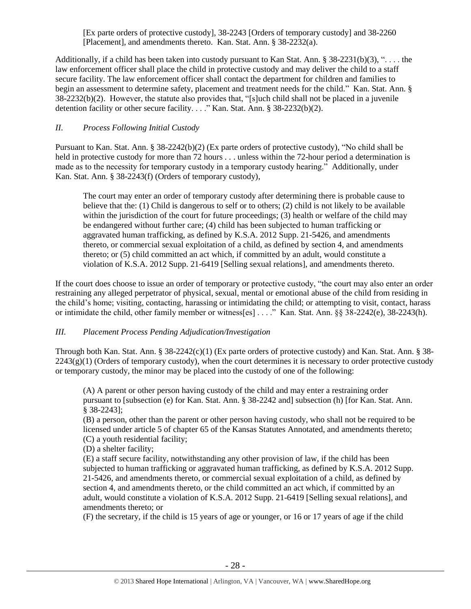[Ex parte orders of protective custody], 38-2243 [Orders of temporary custody] and 38-2260 [Placement], and amendments thereto. Kan. Stat. Ann. § 38-2232(a).

Additionally, if a child has been taken into custody pursuant to Kan Stat. Ann. § 38-2231(b)(3), ". . . . the law enforcement officer shall place the child in protective custody and may deliver the child to a staff secure facility. The law enforcement officer shall contact the department for children and families to begin an assessment to determine safety, placement and treatment needs for the child." Kan. Stat. Ann. § 38-2232(b)(2). However, the statute also provides that, "[s]uch child shall not be placed in a juvenile detention facility or other secure facility. . . ." Kan. Stat. Ann. § 38-2232(b)(2).

# *II. Process Following Initial Custody*

Pursuant to Kan. Stat. Ann. § 38-2242(b)(2) (Ex parte orders of protective custody), "No child shall be held in protective custody for more than 72 hours . . . unless within the 72-hour period a determination is made as to the necessity for temporary custody in a temporary custody hearing." Additionally, under Kan. Stat. Ann. § 38-2243(f) (Orders of temporary custody),

The court may enter an order of temporary custody after determining there is probable cause to believe that the: (1) Child is dangerous to self or to others; (2) child is not likely to be available within the jurisdiction of the court for future proceedings; (3) health or welfare of the child may be endangered without further care; (4) child has been subjected to human trafficking or aggravated human trafficking, as defined by K.S.A. 2012 Supp. 21-5426, and amendments thereto, or commercial sexual exploitation of a child, as defined by section 4, and amendments thereto; or (5) child committed an act which, if committed by an adult, would constitute a violation of K.S.A. 2012 Supp. 21-6419 [Selling sexual relations], and amendments thereto.

If the court does choose to issue an order of temporary or protective custody, "the court may also enter an order restraining any alleged perpetrator of physical, sexual, mental or emotional abuse of the child from residing in the child's home; visiting, contacting, harassing or intimidating the child; or attempting to visit, contact, harass or intimidate the child, other family member or witness[es] . . . ." Kan. Stat. Ann. §§ 38-2242(e), 38-2243(h).

# *III. Placement Process Pending Adjudication/Investigation*

Through both Kan. Stat. Ann. § 38-2242(c)(1) (Ex parte orders of protective custody) and Kan. Stat. Ann. § 38-  $2243(g)(1)$  (Orders of temporary custody), when the court determines it is necessary to order protective custody or temporary custody, the minor may be placed into the custody of one of the following:

(A) A parent or other person having custody of the child and may enter a restraining order pursuant to [subsection (e) for Kan. Stat. Ann. § 38-2242 and] subsection (h) [for Kan. Stat. Ann. § 38-2243];

(B) a person, other than the parent or other person having custody, who shall not be required to be licensed under article 5 of chapter 65 of the Kansas Statutes Annotated, and amendments thereto; (C) a youth residential facility;

(D) a shelter facility;

(E) a staff secure facility, notwithstanding any other provision of law, if the child has been subjected to human trafficking or aggravated human trafficking, as defined by K.S.A. 2012 Supp. 21-5426, and amendments thereto, or commercial sexual exploitation of a child, as defined by section 4, and amendments thereto, or the child committed an act which, if committed by an adult, would constitute a violation of K.S.A. 2012 Supp. 21-6419 [Selling sexual relations], and amendments thereto; or

(F) the secretary, if the child is 15 years of age or younger, or 16 or 17 years of age if the child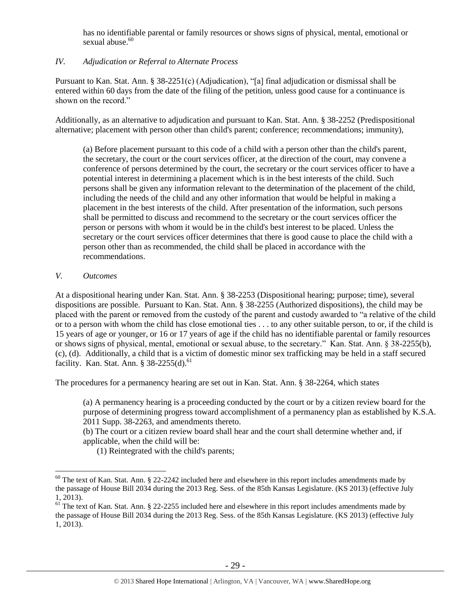has no identifiable parental or family resources or shows signs of physical, mental, emotional or sexual abuse.<sup>60</sup>

# *IV. Adjudication or Referral to Alternate Process*

Pursuant to Kan. Stat. Ann. § 38-2251(c) (Adjudication), "[a] final adjudication or dismissal shall be entered within 60 days from the date of the filing of the petition, unless good cause for a continuance is shown on the record."

Additionally, as an alternative to adjudication and pursuant to Kan. Stat. Ann. § 38-2252 (Predispositional alternative; placement with person other than child's parent; conference; recommendations; immunity),

(a) Before placement pursuant to this code of a child with a person other than the child's parent, the secretary, the court or the court services officer, at the direction of the court, may convene a conference of persons determined by the court, the secretary or the court services officer to have a potential interest in determining a placement which is in the best interests of the child. Such persons shall be given any information relevant to the determination of the placement of the child, including the needs of the child and any other information that would be helpful in making a placement in the best interests of the child. After presentation of the information, such persons shall be permitted to discuss and recommend to the secretary or the court services officer the person or persons with whom it would be in the child's best interest to be placed. Unless the secretary or the court services officer determines that there is good cause to place the child with a person other than as recommended, the child shall be placed in accordance with the recommendations.

## *V. Outcomes*

At a dispositional hearing under Kan. Stat. Ann. § 38-2253 (Dispositional hearing; purpose; time), several dispositions are possible. Pursuant to Kan. Stat. Ann. § 38-2255 (Authorized dispositions), the child may be placed with the parent or removed from the custody of the parent and custody awarded to "a relative of the child or to a person with whom the child has close emotional ties . . . to any other suitable person, to or, if the child is 15 years of age or younger, or 16 or 17 years of age if the child has no identifiable parental or family resources or shows signs of physical, mental, emotional or sexual abuse, to the secretary." Kan. Stat. Ann. § 38-2255(b), (c), (d). Additionally, a child that is a victim of domestic minor sex trafficking may be held in a staff secured facility. Kan. Stat. Ann. § 38-2255(d).<sup>61</sup>

The procedures for a permanency hearing are set out in Kan. Stat. Ann. § 38-2264, which states

(a) A permanency hearing is a proceeding conducted by the court or by a citizen review board for the purpose of determining progress toward accomplishment of a permanency plan as established by K.S.A. 2011 Supp. 38-2263, and amendments thereto.

(b) The court or a citizen review board shall hear and the court shall determine whether and, if applicable, when the child will be:

(1) Reintegrated with the child's parents;

 $\overline{a}$  $60$  The text of Kan. Stat. Ann. § 22-2242 included here and elsewhere in this report includes amendments made by the passage of House Bill 2034 during the 2013 Reg. Sess. of the 85th Kansas Legislature. (KS 2013) (effective July 1, 2013).

 $61$  The text of Kan. Stat. Ann. § 22-2255 included here and elsewhere in this report includes amendments made by the passage of House Bill 2034 during the 2013 Reg. Sess. of the 85th Kansas Legislature. (KS 2013) (effective July 1, 2013).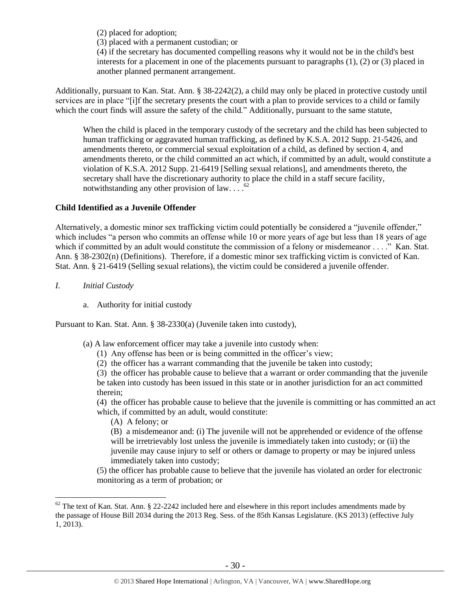(2) placed for adoption;

(3) placed with a permanent custodian; or

(4) if the secretary has documented compelling reasons why it would not be in the child's best interests for a placement in one of the placements pursuant to paragraphs (1), (2) or (3) placed in another planned permanent arrangement.

Additionally, pursuant to Kan. Stat. Ann. § 38-2242(2), a child may only be placed in protective custody until services are in place "[i]f the secretary presents the court with a plan to provide services to a child or family which the court finds will assure the safety of the child." Additionally, pursuant to the same statute,

When the child is placed in the temporary custody of the secretary and the child has been subjected to human trafficking or aggravated human trafficking, as defined by K.S.A. 2012 Supp. 21-5426, and amendments thereto, or commercial sexual exploitation of a child, as defined by section 4, and amendments thereto, or the child committed an act which, if committed by an adult, would constitute a violation of K.S.A. 2012 Supp. 21-6419 [Selling sexual relations], and amendments thereto, the secretary shall have the discretionary authority to place the child in a staff secure facility, notwithstanding any other provision of law....<sup>62</sup>

# **Child Identified as a Juvenile Offender**

Alternatively, a domestic minor sex trafficking victim could potentially be considered a "juvenile offender," which includes "a person who commits an offense while 10 or more years of age but less than 18 years of age which if committed by an adult would constitute the commission of a felony or misdemeanor . . . ." Kan. Stat. Ann. § 38-2302(n) (Definitions). Therefore, if a domestic minor sex trafficking victim is convicted of Kan. Stat. Ann. § 21-6419 (Selling sexual relations), the victim could be considered a juvenile offender.

- *I. Initial Custody*
	- a. Authority for initial custody

Pursuant to Kan. Stat. Ann. § 38-2330(a) (Juvenile taken into custody),

- (a) A law enforcement officer may take a juvenile into custody when:
	- (1) Any offense has been or is being committed in the officer's view;
	- (2) the officer has a warrant commanding that the juvenile be taken into custody;

(3) the officer has probable cause to believe that a warrant or order commanding that the juvenile be taken into custody has been issued in this state or in another jurisdiction for an act committed

therein;

 $\overline{a}$ 

(4) the officer has probable cause to believe that the juvenile is committing or has committed an act which, if committed by an adult, would constitute:

(A) A felony; or

(B) a misdemeanor and: (i) The juvenile will not be apprehended or evidence of the offense will be irretrievably lost unless the juvenile is immediately taken into custody; or (ii) the juvenile may cause injury to self or others or damage to property or may be injured unless immediately taken into custody;

(5) the officer has probable cause to believe that the juvenile has violated an order for electronic monitoring as a term of probation; or

 $62$  The text of Kan. Stat. Ann. § 22-2242 included here and elsewhere in this report includes amendments made by the passage of House Bill 2034 during the 2013 Reg. Sess. of the 85th Kansas Legislature. (KS 2013) (effective July 1, 2013).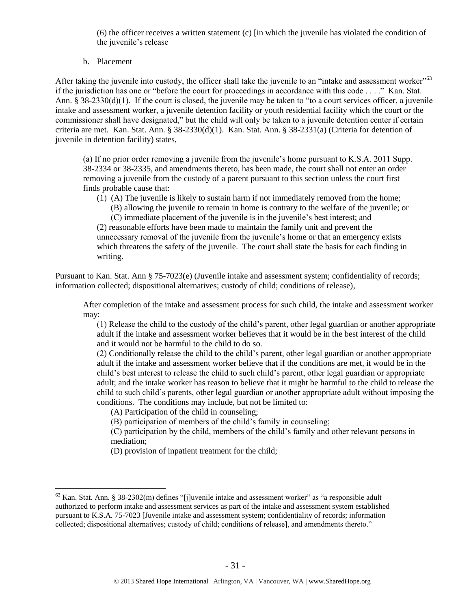(6) the officer receives a written statement (c) [in which the juvenile has violated the condition of the juvenile's release

## b. Placement

 $\overline{a}$ 

After taking the juvenile into custody, the officer shall take the juvenile to an "intake and assessment worker"<sup>63</sup> if the jurisdiction has one or "before the court for proceedings in accordance with this code . . . ." Kan. Stat. Ann. § 38-2330(d)(1). If the court is closed, the juvenile may be taken to "to a court services officer, a juvenile intake and assessment worker, a juvenile detention facility or youth residential facility which the court or the commissioner shall have designated," but the child will only be taken to a juvenile detention center if certain criteria are met. Kan. Stat. Ann. § 38-2330(d)(1). Kan. Stat. Ann. § 38-2331(a) (Criteria for detention of juvenile in detention facility) states,

(a) If no prior order removing a juvenile from the juvenile's home pursuant to K.S.A. 2011 Supp. 38-2334 or 38-2335, and amendments thereto, has been made, the court shall not enter an order removing a juvenile from the custody of a parent pursuant to this section unless the court first finds probable cause that:

(1) (A) The juvenile is likely to sustain harm if not immediately removed from the home;

(B) allowing the juvenile to remain in home is contrary to the welfare of the juvenile; or (C) immediate placement of the juvenile is in the juvenile's best interest; and

(2) reasonable efforts have been made to maintain the family unit and prevent the unnecessary removal of the juvenile from the juvenile's home or that an emergency exists which threatens the safety of the juvenile. The court shall state the basis for each finding in writing.

Pursuant to Kan. Stat. Ann § 75-7023(e) (Juvenile intake and assessment system; confidentiality of records; information collected; dispositional alternatives; custody of child; conditions of release),

After completion of the intake and assessment process for such child, the intake and assessment worker may:

(1) Release the child to the custody of the child's parent, other legal guardian or another appropriate adult if the intake and assessment worker believes that it would be in the best interest of the child and it would not be harmful to the child to do so.

(2) Conditionally release the child to the child's parent, other legal guardian or another appropriate adult if the intake and assessment worker believe that if the conditions are met, it would be in the child's best interest to release the child to such child's parent, other legal guardian or appropriate adult; and the intake worker has reason to believe that it might be harmful to the child to release the child to such child's parents, other legal guardian or another appropriate adult without imposing the conditions. The conditions may include, but not be limited to:

(A) Participation of the child in counseling;

(B) participation of members of the child's family in counseling;

(C) participation by the child, members of the child's family and other relevant persons in mediation;

(D) provision of inpatient treatment for the child;

<sup>63</sup> Kan. Stat. Ann. § 38-2302(m) defines "[j]uvenile intake and assessment worker" as "a responsible adult authorized to perform intake and assessment services as part of the intake and assessment system established pursuant to K.S.A. 75-7023 [Juvenile intake and assessment system; confidentiality of records; information collected; dispositional alternatives; custody of child; conditions of release], and amendments thereto."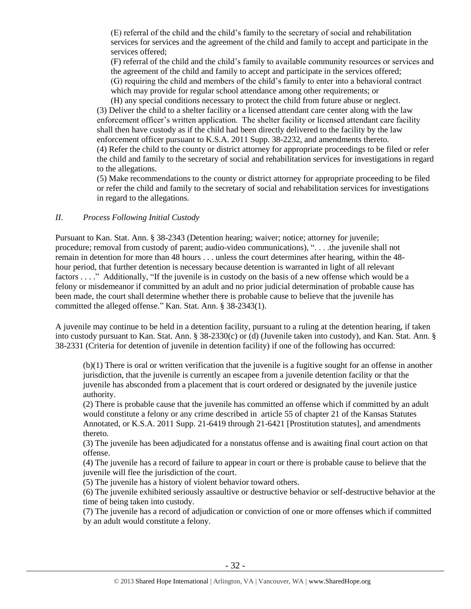(E) referral of the child and the child's family to the secretary of social and rehabilitation services for services and the agreement of the child and family to accept and participate in the services offered;

(F) referral of the child and the child's family to available community resources or services and the agreement of the child and family to accept and participate in the services offered; (G) requiring the child and members of the child's family to enter into a behavioral contract

which may provide for regular school attendance among other requirements; or

(H) any special conditions necessary to protect the child from future abuse or neglect. (3) Deliver the child to a shelter facility or a licensed attendant care center along with the law enforcement officer's written application. The shelter facility or licensed attendant care facility shall then have custody as if the child had been directly delivered to the facility by the law enforcement officer pursuant to K.S.A. 2011 Supp. 38-2232, and amendments thereto. (4) Refer the child to the county or district attorney for appropriate proceedings to be filed or refer the child and family to the secretary of social and rehabilitation services for investigations in regard to the allegations.

(5) Make recommendations to the county or district attorney for appropriate proceeding to be filed or refer the child and family to the secretary of social and rehabilitation services for investigations in regard to the allegations.

## *II. Process Following Initial Custody*

Pursuant to Kan. Stat. Ann. § 38-2343 (Detention hearing; waiver; notice; attorney for juvenile; procedure; removal from custody of parent; audio-video communications), ". . . .the juvenile shall not remain in detention for more than 48 hours . . . unless the court determines after hearing, within the 48 hour period, that further detention is necessary because detention is warranted in light of all relevant factors . . . ." Additionally, "If the juvenile is in custody on the basis of a new offense which would be a felony or misdemeanor if committed by an adult and no prior judicial determination of probable cause has been made, the court shall determine whether there is probable cause to believe that the juvenile has committed the alleged offense." Kan. Stat. Ann. § 38-2343(1).

A juvenile may continue to be held in a detention facility, pursuant to a ruling at the detention hearing, if taken into custody pursuant to Kan. Stat. Ann. § 38-2330(c) or (d) (Juvenile taken into custody), and Kan. Stat. Ann. § 38-2331 (Criteria for detention of juvenile in detention facility) if one of the following has occurred:

(b)(1) There is oral or written verification that the juvenile is a fugitive sought for an offense in another jurisdiction, that the juvenile is currently an escapee from a juvenile detention facility or that the juvenile has absconded from a placement that is court ordered or designated by the juvenile justice authority.

(2) There is probable cause that the juvenile has committed an offense which if committed by an adult would constitute a felony or any crime described in article 55 of chapter 21 of the Kansas Statutes Annotated, or K.S.A. 2011 Supp. 21-6419 through 21-6421 [Prostitution statutes], and amendments thereto.

(3) The juvenile has been adjudicated for a nonstatus offense and is awaiting final court action on that offense.

(4) The juvenile has a record of failure to appear in court or there is probable cause to believe that the juvenile will flee the jurisdiction of the court.

(5) The juvenile has a history of violent behavior toward others.

(6) The juvenile exhibited seriously assaultive or destructive behavior or self-destructive behavior at the time of being taken into custody.

(7) The juvenile has a record of adjudication or conviction of one or more offenses which if committed by an adult would constitute a felony.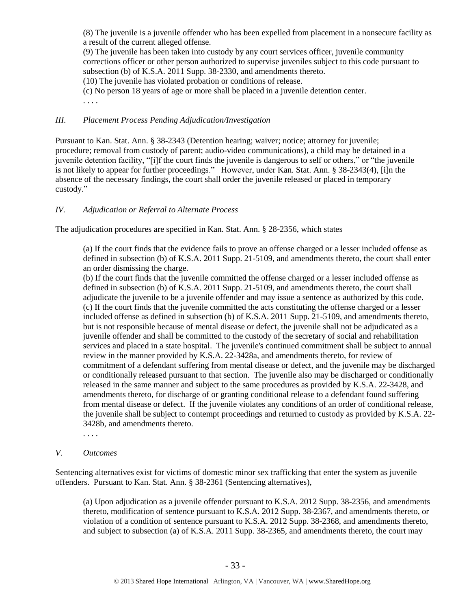(8) The juvenile is a juvenile offender who has been expelled from placement in a nonsecure facility as a result of the current alleged offense.

(9) The juvenile has been taken into custody by any court services officer, juvenile community corrections officer or other person authorized to supervise juveniles subject to this code pursuant to subsection (b) of K.S.A. 2011 Supp. 38-2330, and amendments thereto.

(10) The juvenile has violated probation or conditions of release.

(c) No person 18 years of age or more shall be placed in a juvenile detention center.

. . . .

# *III. Placement Process Pending Adjudication/Investigation*

Pursuant to Kan. Stat. Ann. § 38-2343 (Detention hearing; waiver; notice; attorney for juvenile; procedure; removal from custody of parent; audio-video communications), a child may be detained in a juvenile detention facility, "[i]f the court finds the juvenile is dangerous to self or others," or "the juvenile is not likely to appear for further proceedings." However, under Kan. Stat. Ann. § 38-2343(4), [i]n the absence of the necessary findings, the court shall order the juvenile released or placed in temporary custody."

# *IV. Adjudication or Referral to Alternate Process*

The adjudication procedures are specified in Kan. Stat. Ann. § 28-2356, which states

(a) If the court finds that the evidence fails to prove an offense charged or a lesser included offense as defined in subsection (b) of K.S.A. 2011 Supp. 21-5109, and amendments thereto, the court shall enter an order dismissing the charge.

(b) If the court finds that the juvenile committed the offense charged or a lesser included offense as defined in subsection (b) of K.S.A. 2011 Supp. 21-5109, and amendments thereto, the court shall adjudicate the juvenile to be a juvenile offender and may issue a sentence as authorized by this code. (c) If the court finds that the juvenile committed the acts constituting the offense charged or a lesser included offense as defined in subsection (b) of K.S.A. 2011 Supp. 21-5109, and amendments thereto, but is not responsible because of mental disease or defect, the juvenile shall not be adjudicated as a juvenile offender and shall be committed to the custody of the secretary of social and rehabilitation services and placed in a state hospital. The juvenile's continued commitment shall be subject to annual review in the manner provided by K.S.A. 22-3428a, and amendments thereto, for review of commitment of a defendant suffering from mental disease or defect, and the juvenile may be discharged or conditionally released pursuant to that section. The juvenile also may be discharged or conditionally released in the same manner and subject to the same procedures as provided by K.S.A. 22-3428, and amendments thereto, for discharge of or granting conditional release to a defendant found suffering from mental disease or defect. If the juvenile violates any conditions of an order of conditional release, the juvenile shall be subject to contempt proceedings and returned to custody as provided by K.S.A. 22- 3428b, and amendments thereto.

. . . .

*V. Outcomes*

Sentencing alternatives exist for victims of domestic minor sex trafficking that enter the system as juvenile offenders. Pursuant to Kan. Stat. Ann. § 38-2361 (Sentencing alternatives),

(a) Upon adjudication as a juvenile offender pursuant to K.S.A. 2012 Supp. 38-2356, and amendments thereto, modification of sentence pursuant to K.S.A. 2012 Supp. 38-2367, and amendments thereto, or violation of a condition of sentence pursuant to K.S.A. 2012 Supp. 38-2368, and amendments thereto, and subject to subsection (a) of K.S.A. 2011 Supp. 38-2365, and amendments thereto, the court may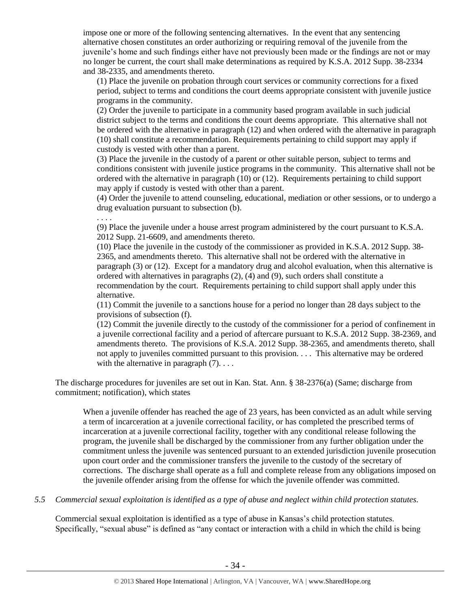impose one or more of the following sentencing alternatives. In the event that any sentencing alternative chosen constitutes an order authorizing or requiring removal of the juvenile from the juvenile's home and such findings either have not previously been made or the findings are not or may no longer be current, the court shall make determinations as required by K.S.A. 2012 Supp. 38-2334 and 38-2335, and amendments thereto.

(1) Place the juvenile on probation through court services or community corrections for a fixed period, subject to terms and conditions the court deems appropriate consistent with juvenile justice programs in the community.

(2) Order the juvenile to participate in a community based program available in such judicial district subject to the terms and conditions the court deems appropriate. This alternative shall not be ordered with the alternative in paragraph (12) and when ordered with the alternative in paragraph (10) shall constitute a recommendation. Requirements pertaining to child support may apply if custody is vested with other than a parent.

(3) Place the juvenile in the custody of a parent or other suitable person, subject to terms and conditions consistent with juvenile justice programs in the community. This alternative shall not be ordered with the alternative in paragraph (10) or (12). Requirements pertaining to child support may apply if custody is vested with other than a parent.

(4) Order the juvenile to attend counseling, educational, mediation or other sessions, or to undergo a drug evaluation pursuant to subsection (b).

. . . .

(9) Place the juvenile under a house arrest program administered by the court pursuant to K.S.A. 2012 Supp. 21-6609, and amendments thereto.

(10) Place the juvenile in the custody of the commissioner as provided in K.S.A. 2012 Supp. 38- 2365, and amendments thereto. This alternative shall not be ordered with the alternative in paragraph (3) or (12). Except for a mandatory drug and alcohol evaluation, when this alternative is ordered with alternatives in paragraphs (2), (4) and (9), such orders shall constitute a recommendation by the court. Requirements pertaining to child support shall apply under this alternative.

(11) Commit the juvenile to a sanctions house for a period no longer than 28 days subject to the provisions of subsection (f).

(12) Commit the juvenile directly to the custody of the commissioner for a period of confinement in a juvenile correctional facility and a period of aftercare pursuant to K.S.A. 2012 Supp. 38-2369, and amendments thereto. The provisions of K.S.A. 2012 Supp. 38-2365, and amendments thereto, shall not apply to juveniles committed pursuant to this provision. . . . This alternative may be ordered with the alternative in paragraph  $(7)$ ...

The discharge procedures for juveniles are set out in Kan. Stat. Ann. § 38-2376(a) (Same; discharge from commitment; notification), which states

When a juvenile offender has reached the age of 23 years, has been convicted as an adult while serving a term of incarceration at a juvenile correctional facility, or has completed the prescribed terms of incarceration at a juvenile correctional facility, together with any conditional release following the program, the juvenile shall be discharged by the commissioner from any further obligation under the commitment unless the juvenile was sentenced pursuant to an extended jurisdiction juvenile prosecution upon court order and the commissioner transfers the juvenile to the custody of the secretary of corrections. The discharge shall operate as a full and complete release from any obligations imposed on the juvenile offender arising from the offense for which the juvenile offender was committed.

*5.5 Commercial sexual exploitation is identified as a type of abuse and neglect within child protection statutes.*

Commercial sexual exploitation is identified as a type of abuse in Kansas's child protection statutes. Specifically, "sexual abuse" is defined as "any contact or interaction with a child in which the child is being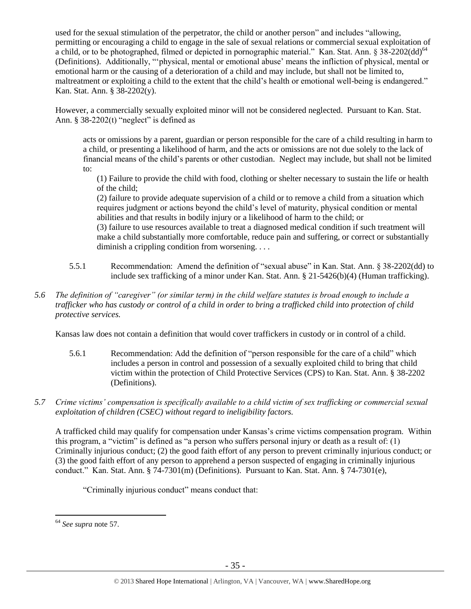used for the sexual stimulation of the perpetrator, the child or another person" and includes "allowing, permitting or encouraging a child to engage in the sale of sexual relations or commercial sexual exploitation of a child, or to be photographed, filmed or depicted in pornographic material." Kan. Stat. Ann.  $\S 38-2202\text{(dd)}^{64}$ (Definitions). Additionally, "'physical, mental or emotional abuse' means the infliction of physical, mental or emotional harm or the causing of a deterioration of a child and may include, but shall not be limited to, maltreatment or exploiting a child to the extent that the child's health or emotional well-being is endangered." Kan. Stat. Ann. § 38-2202(y).

However, a commercially sexually exploited minor will not be considered neglected. Pursuant to Kan. Stat. Ann.  $§$  38-2202(t) "neglect" is defined as

acts or omissions by a parent, guardian or person responsible for the care of a child resulting in harm to a child, or presenting a likelihood of harm, and the acts or omissions are not due solely to the lack of financial means of the child's parents or other custodian. Neglect may include, but shall not be limited to:

(1) Failure to provide the child with food, clothing or shelter necessary to sustain the life or health of the child;

(2) failure to provide adequate supervision of a child or to remove a child from a situation which requires judgment or actions beyond the child's level of maturity, physical condition or mental abilities and that results in bodily injury or a likelihood of harm to the child; or

(3) failure to use resources available to treat a diagnosed medical condition if such treatment will make a child substantially more comfortable, reduce pain and suffering, or correct or substantially diminish a crippling condition from worsening. . . .

- 5.5.1 Recommendation: Amend the definition of "sexual abuse" in Kan. Stat. Ann. § 38-2202(dd) to include sex trafficking of a minor under Kan. Stat. Ann. § 21-5426(b)(4) (Human trafficking).
- *5.6 The definition of "caregiver" (or similar term) in the child welfare statutes is broad enough to include a trafficker who has custody or control of a child in order to bring a trafficked child into protection of child protective services.*

Kansas law does not contain a definition that would cover traffickers in custody or in control of a child.

- 5.6.1 Recommendation: Add the definition of "person responsible for the care of a child" which includes a person in control and possession of a sexually exploited child to bring that child victim within the protection of Child Protective Services (CPS) to Kan. Stat. Ann. § 38-2202 (Definitions).
- *5.7 Crime victims' compensation is specifically available to a child victim of sex trafficking or commercial sexual exploitation of children (CSEC) without regard to ineligibility factors.*

A trafficked child may qualify for compensation under Kansas's crime victims compensation program. Within this program, a "victim" is defined as "a person who suffers personal injury or death as a result of: (1) Criminally injurious conduct; (2) the good faith effort of any person to prevent criminally injurious conduct; or (3) the good faith effort of any person to apprehend a person suspected of engaging in criminally injurious conduct." Kan. Stat. Ann. § 74-7301(m) (Definitions). Pursuant to Kan. Stat. Ann. § 74-7301(e),

"Criminally injurious conduct" means conduct that:

<sup>64</sup> *See supra* note [57.](#page-25-0)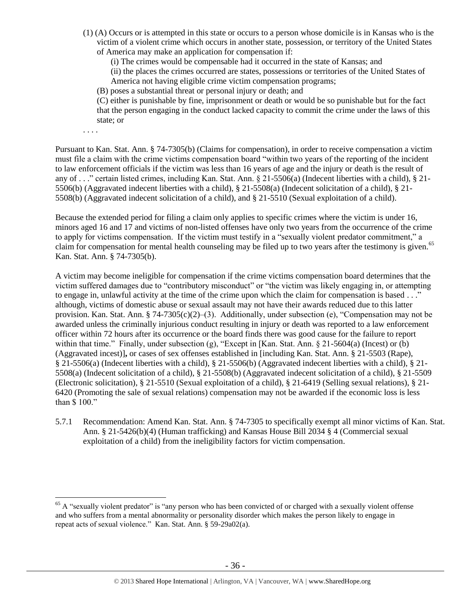- (1) (A) Occurs or is attempted in this state or occurs to a person whose domicile is in Kansas who is the victim of a violent crime which occurs in another state, possession, or territory of the United States of America may make an application for compensation if:
	- (i) The crimes would be compensable had it occurred in the state of Kansas; and

(ii) the places the crimes occurred are states, possessions or territories of the United States of America not having eligible crime victim compensation programs;

(B) poses a substantial threat or personal injury or death; and

(C) either is punishable by fine, imprisonment or death or would be so punishable but for the fact that the person engaging in the conduct lacked capacity to commit the crime under the laws of this state; or

. . . .

 $\overline{a}$ 

Pursuant to Kan. Stat. Ann. § 74-7305(b) (Claims for compensation), in order to receive compensation a victim must file a claim with the crime victims compensation board "within two years of the reporting of the incident to law enforcement officials if the victim was less than 16 years of age and the injury or death is the result of any of . . ." certain listed crimes, including Kan. Stat. Ann. § 21-5506(a) (Indecent liberties with a child), § 21- 5506(b) (Aggravated indecent liberties with a child), § 21-5508(a) (Indecent solicitation of a child), § 21- 5508(b) (Aggravated indecent solicitation of a child), and § 21-5510 (Sexual exploitation of a child).

Because the extended period for filing a claim only applies to specific crimes where the victim is under 16, minors aged 16 and 17 and victims of non-listed offenses have only two years from the occurrence of the crime to apply for victims compensation. If the victim must testify in a "sexually violent predator commitment," a claim for compensation for mental health counseling may be filed up to two years after the testimony is given.<sup>65</sup> Kan. Stat. Ann. § 74-7305(b).

A victim may become ineligible for compensation if the crime victims compensation board determines that the victim suffered damages due to "contributory misconduct" or "the victim was likely engaging in, or attempting to engage in, unlawful activity at the time of the crime upon which the claim for compensation is based . . ." although, victims of domestic abuse or sexual assault may not have their awards reduced due to this latter provision. Kan. Stat. Ann. § 74-7305(c)(2)–(3). Additionally, under subsection (e), "Compensation may not be awarded unless the criminally injurious conduct resulting in injury or death was reported to a law enforcement officer within 72 hours after its occurrence or the board finds there was good cause for the failure to report within that time." Finally, under subsection (g), "Except in [Kan. Stat. Ann.  $\S$  21-5604(a) (Incest) or (b) (Aggravated incest)]**,** or cases of sex offenses established in [including Kan. Stat. Ann. § 21-5503 (Rape), § 21-5506(a) (Indecent liberties with a child), § 21-5506(b) (Aggravated indecent liberties with a child), § 21- 5508(a) (Indecent solicitation of a child), § 21-5508(b) (Aggravated indecent solicitation of a child), § 21-5509 (Electronic solicitation), § 21-5510 (Sexual exploitation of a child), § 21-6419 (Selling sexual relations), § 21- 6420 (Promoting the sale of sexual relations) compensation may not be awarded if the economic loss is less than \$ 100."

5.7.1 Recommendation: Amend Kan. Stat. Ann. § 74-7305 to specifically exempt all minor victims of Kan. Stat. Ann. § 21-5426(b)(4) (Human trafficking) and Kansas House Bill 2034 § 4 (Commercial sexual exploitation of a child) from the ineligibility factors for victim compensation.

<sup>&</sup>lt;sup>65</sup> A "sexually violent predator" is "any person who has been convicted of or charged with a sexually violent offense and who suffers from a mental abnormality or personality disorder which makes the person likely to engage in repeat acts of sexual violence." Kan. Stat. Ann. § 59-29a02(a).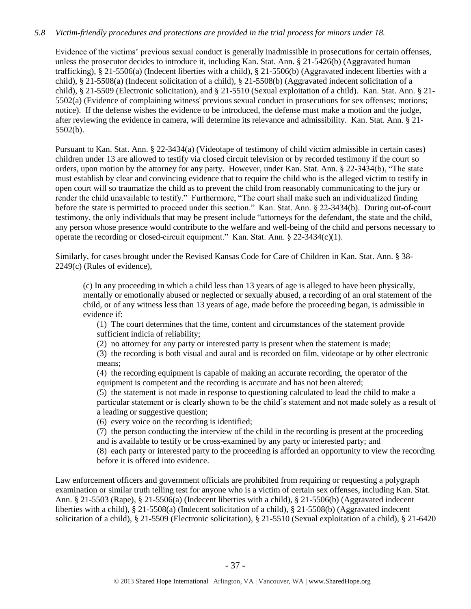# *5.8 Victim-friendly procedures and protections are provided in the trial process for minors under 18.*

Evidence of the victims' previous sexual conduct is generally inadmissible in prosecutions for certain offenses, unless the prosecutor decides to introduce it, including Kan. Stat. Ann. § 21-5426(b) (Aggravated human trafficking), § 21-5506(a) (Indecent liberties with a child), § 21-5506(b) (Aggravated indecent liberties with a child), § 21-5508(a) (Indecent solicitation of a child), § 21-5508(b) (Aggravated indecent solicitation of a child), § 21-5509 (Electronic solicitation), and § 21-5510 (Sexual exploitation of a child). Kan. Stat. Ann. § 21- 5502(a) (Evidence of complaining witness' previous sexual conduct in prosecutions for sex offenses; motions; notice). If the defense wishes the evidence to be introduced, the defense must make a motion and the judge, after reviewing the evidence in camera, will determine its relevance and admissibility. Kan. Stat. Ann. § 21- 5502(b).

Pursuant to Kan. Stat. Ann. § 22-3434(a) (Videotape of testimony of child victim admissible in certain cases) children under 13 are allowed to testify via closed circuit television or by recorded testimony if the court so orders, upon motion by the attorney for any party. However, under Kan. Stat. Ann. § 22-3434(b), "The state must establish by clear and convincing evidence that to require the child who is the alleged victim to testify in open court will so traumatize the child as to prevent the child from reasonably communicating to the jury or render the child unavailable to testify." Furthermore, "The court shall make such an individualized finding before the state is permitted to proceed under this section." Kan. Stat. Ann. § 22-3434(b). During out-of-court testimony, the only individuals that may be present include "attorneys for the defendant, the state and the child, any person whose presence would contribute to the welfare and well-being of the child and persons necessary to operate the recording or closed-circuit equipment." Kan. Stat. Ann. § 22-3434(c)(1).

Similarly, for cases brought under the Revised Kansas Code for Care of Children in Kan. Stat. Ann. § 38- 2249(c) (Rules of evidence),

(c) In any proceeding in which a child less than 13 years of age is alleged to have been physically, mentally or emotionally abused or neglected or sexually abused, a recording of an oral statement of the child, or of any witness less than 13 years of age, made before the proceeding began, is admissible in evidence if:

(1) The court determines that the time, content and circumstances of the statement provide sufficient indicia of reliability;

(2) no attorney for any party or interested party is present when the statement is made;

(3) the recording is both visual and aural and is recorded on film, videotape or by other electronic means;

(4) the recording equipment is capable of making an accurate recording, the operator of the equipment is competent and the recording is accurate and has not been altered;

(5) the statement is not made in response to questioning calculated to lead the child to make a particular statement or is clearly shown to be the child's statement and not made solely as a result of a leading or suggestive question;

(6) every voice on the recording is identified;

(7) the person conducting the interview of the child in the recording is present at the proceeding and is available to testify or be cross-examined by any party or interested party; and

(8) each party or interested party to the proceeding is afforded an opportunity to view the recording before it is offered into evidence.

Law enforcement officers and government officials are prohibited from requiring or requesting a polygraph examination or similar truth telling test for anyone who is a victim of certain sex offenses, including Kan. Stat. Ann. § 21-5503 (Rape), § 21-5506(a) (Indecent liberties with a child), § 21-5506(b) (Aggravated indecent liberties with a child), § 21-5508(a) (Indecent solicitation of a child), § 21-5508(b) (Aggravated indecent solicitation of a child), § 21-5509 (Electronic solicitation), § 21-5510 (Sexual exploitation of a child), § 21-6420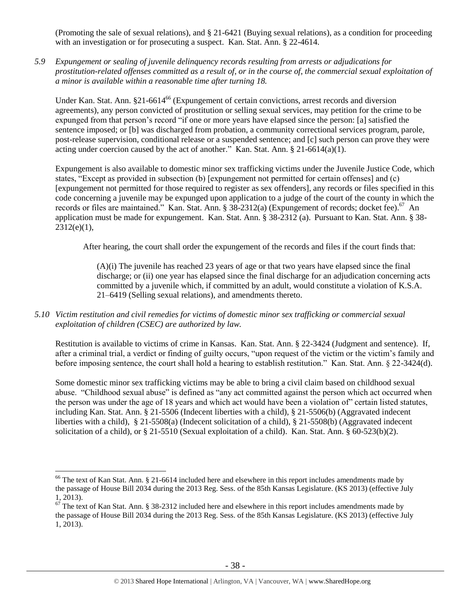(Promoting the sale of sexual relations), and § 21-6421 (Buying sexual relations), as a condition for proceeding with an investigation or for prosecuting a suspect. Kan. Stat. Ann. § 22-4614.

*5.9 Expungement or sealing of juvenile delinquency records resulting from arrests or adjudications for prostitution-related offenses committed as a result of, or in the course of, the commercial sexual exploitation of a minor is available within a reasonable time after turning 18.*

Under Kan. Stat. Ann. §21-6614<sup>66</sup> (Expungement of certain convictions, arrest records and diversion agreements), any person convicted of prostitution or selling sexual services, may petition for the crime to be expunged from that person's record "if one or more years have elapsed since the person: [a] satisfied the sentence imposed; or [b] was discharged from probation, a community correctional services program, parole, post-release supervision, conditional release or a suspended sentence; and [c] such person can prove they were acting under coercion caused by the act of another." Kan. Stat. Ann. § 21-6614(a)(1).

Expungement is also available to domestic minor sex trafficking victims under the Juvenile Justice Code, which states, "Except as provided in subsection (b) [expungement not permitted for certain offenses] and (c) [expungement not permitted for those required to register as sex offenders], any records or files specified in this code concerning a juvenile may be expunged upon application to a judge of the court of the county in which the records or files are maintained." Kan. Stat. Ann. § 38-2312(a) (Expungement of records; docket fee).<sup>67</sup> An application must be made for expungement. Kan. Stat. Ann. § 38-2312 (a). Pursuant to Kan. Stat. Ann. § 38-  $2312(e)(1)$ ,

After hearing, the court shall order the expungement of the records and files if the court finds that:

(A)(i) The juvenile has reached 23 years of age or that two years have elapsed since the final discharge; or (ii) one year has elapsed since the final discharge for an adjudication concerning acts committed by a juvenile which, if committed by an adult, would constitute a violation of K.S.A. 21–6419 (Selling sexual relations), and amendments thereto.

*5.10 Victim restitution and civil remedies for victims of domestic minor sex trafficking or commercial sexual exploitation of children (CSEC) are authorized by law.* 

Restitution is available to victims of crime in Kansas. Kan. Stat. Ann. § 22-3424 (Judgment and sentence). If, after a criminal trial, a verdict or finding of guilty occurs, "upon request of the victim or the victim's family and before imposing sentence, the court shall hold a hearing to establish restitution." Kan. Stat. Ann. § 22-3424(d).

Some domestic minor sex trafficking victims may be able to bring a civil claim based on childhood sexual abuse. "Childhood sexual abuse" is defined as "any act committed against the person which act occurred when the person was under the age of 18 years and which act would have been a violation of" certain listed statutes, including Kan. Stat. Ann. § 21-5506 (Indecent liberties with a child), § 21-5506(b) (Aggravated indecent liberties with a child), § 21-5508(a) (Indecent solicitation of a child), § 21-5508(b) (Aggravated indecent solicitation of a child), or § 21-5510 (Sexual exploitation of a child). Kan. Stat. Ann. § 60-523(b)(2).

<sup>&</sup>lt;sup>66</sup> The text of Kan Stat. Ann. § 21-6614 included here and elsewhere in this report includes amendments made by the passage of House Bill 2034 during the 2013 Reg. Sess. of the 85th Kansas Legislature. (KS 2013) (effective July 1, 2013).

 $67$  The text of Kan Stat. Ann. § 38-2312 included here and elsewhere in this report includes amendments made by the passage of House Bill 2034 during the 2013 Reg. Sess. of the 85th Kansas Legislature. (KS 2013) (effective July 1, 2013).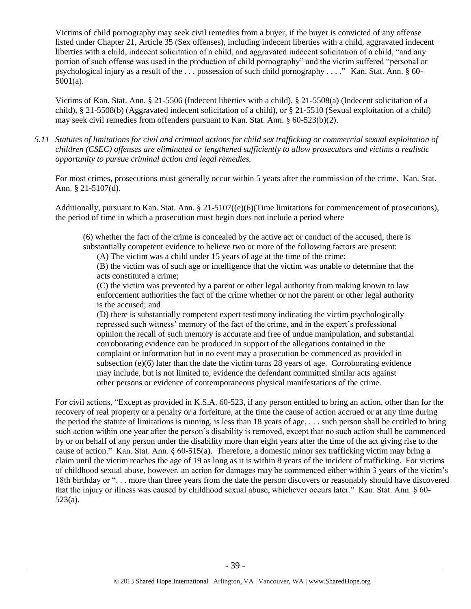Victims of child pornography may seek civil remedies from a buyer, if the buyer is convicted of any offense listed under Chapter 21, Article 35 (Sex offenses), including indecent liberties with a child, aggravated indecent liberties with a child, indecent solicitation of a child, and aggravated indecent solicitation of a child, "and any portion of such offense was used in the production of child pornography" and the victim suffered "personal or psychological injury as a result of the . . . possession of such child pornography . . . ." Kan. Stat. Ann. § 60- 5001(a).

Victims of Kan. Stat. Ann. § 21-5506 (Indecent liberties with a child), § 21-5508(a) (Indecent solicitation of a child), § 21-5508(b) (Aggravated indecent solicitation of a child), or § 21-5510 (Sexual exploitation of a child) may seek civil remedies from offenders pursuant to Kan. Stat. Ann. § 60-523(b)(2).

*5.11 Statutes of limitations for civil and criminal actions for child sex trafficking or commercial sexual exploitation of children (CSEC) offenses are eliminated or lengthened sufficiently to allow prosecutors and victims a realistic opportunity to pursue criminal action and legal remedies.*

For most crimes, prosecutions must generally occur within 5 years after the commission of the crime. Kan. Stat. Ann. § 21-5107(d).

Additionally, pursuant to Kan. Stat. Ann. § 21-5107((e)(6)(Time limitations for commencement of prosecutions), the period of time in which a prosecution must begin does not include a period where

(6) whether the fact of the crime is concealed by the active act or conduct of the accused, there is substantially competent evidence to believe two or more of the following factors are present:

(A) The victim was a child under 15 years of age at the time of the crime;

(B) the victim was of such age or intelligence that the victim was unable to determine that the acts constituted a crime;

(C) the victim was prevented by a parent or other legal authority from making known to law enforcement authorities the fact of the crime whether or not the parent or other legal authority is the accused; and

(D) there is substantially competent expert testimony indicating the victim psychologically repressed such witness' memory of the fact of the crime, and in the expert's professional opinion the recall of such memory is accurate and free of undue manipulation, and substantial corroborating evidence can be produced in support of the allegations contained in the complaint or information but in no event may a prosecution be commenced as provided in subsection  $(e)(6)$  later than the date the victim turns 28 years of age. Corroborating evidence may include, but is not limited to, evidence the defendant committed similar acts against other persons or evidence of contemporaneous physical manifestations of the crime.

For civil actions, "Except as provided in K.S.A. 60-523, if any person entitled to bring an action, other than for the recovery of real property or a penalty or a forfeiture, at the time the cause of action accrued or at any time during the period the statute of limitations is running, is less than 18 years of age, . . . such person shall be entitled to bring such action within one year after the person's disability is removed, except that no such action shall be commenced by or on behalf of any person under the disability more than eight years after the time of the act giving rise to the cause of action." Kan. Stat. Ann.  $\S 60-515(a)$ . Therefore, a domestic minor sex trafficking victim may bring a claim until the victim reaches the age of 19 as long as it is within 8 years of the incident of trafficking. For victims of childhood sexual abuse, however, an action for damages may be commenced either within 3 years of the victim's 18th birthday or ". . . more than three years from the date the person discovers or reasonably should have discovered that the injury or illness was caused by childhood sexual abuse, whichever occurs later." Kan. Stat. Ann. § 60- 523(a).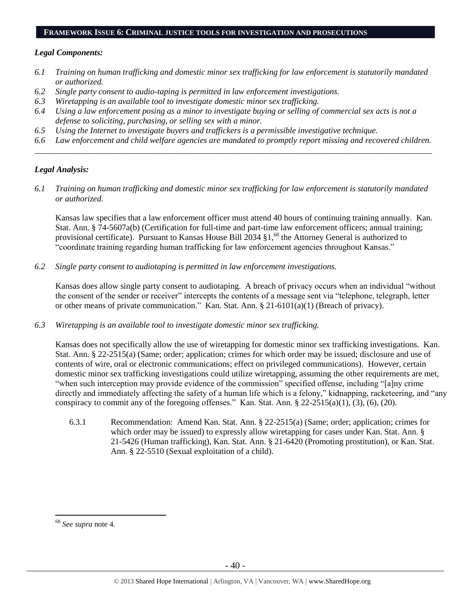#### **FRAMEWORK ISSUE 6: CRIMINAL JUSTICE TOOLS FOR INVESTIGATION AND PROSECUTIONS**

#### *Legal Components:*

- *6.1 Training on human trafficking and domestic minor sex trafficking for law enforcement is statutorily mandated or authorized.*
- *6.2 Single party consent to audio-taping is permitted in law enforcement investigations.*
- *6.3 Wiretapping is an available tool to investigate domestic minor sex trafficking.*
- *6.4 Using a law enforcement posing as a minor to investigate buying or selling of commercial sex acts is not a defense to soliciting, purchasing, or selling sex with a minor.*
- *6.5 Using the Internet to investigate buyers and traffickers is a permissible investigative technique.*
- *6.6 Law enforcement and child welfare agencies are mandated to promptly report missing and recovered children. \_\_\_\_\_\_\_\_\_\_\_\_\_\_\_\_\_\_\_\_\_\_\_\_\_\_\_\_\_\_\_\_\_\_\_\_\_\_\_\_\_\_\_\_\_\_\_\_\_\_\_\_\_\_\_\_\_\_\_\_\_\_\_\_\_\_\_\_\_\_\_\_\_\_\_\_\_\_\_\_\_\_\_\_\_\_\_\_\_\_\_\_\_\_*

# *Legal Analysis:*

*6.1 Training on human trafficking and domestic minor sex trafficking for law enforcement is statutorily mandated or authorized.*

Kansas law specifies that a law enforcement officer must attend 40 hours of continuing training annually. Kan. Stat. Ann. § 74-5607a(b) (Certification for full-time and part-time law enforcement officers; annual training; provisional certificate). Pursuant to Kansas House Bill 2034 §1,<sup>68</sup> the Attorney General is authorized to "coordinate training regarding human trafficking for law enforcement agencies throughout Kansas."

*6.2 Single party consent to audiotaping is permitted in law enforcement investigations.*

Kansas does allow single party consent to audiotaping. A breach of privacy occurs when an individual "without the consent of the sender or receiver" intercepts the contents of a message sent via "telephone, telegraph, letter or other means of private communication." Kan. Stat. Ann. § 21-6101(a)(1) (Breach of privacy).

*6.3 Wiretapping is an available tool to investigate domestic minor sex trafficking.* 

Kansas does not specifically allow the use of wiretapping for domestic minor sex trafficking investigations. Kan. Stat. Ann. § 22-2515(a) (Same; order; application; crimes for which order may be issued; disclosure and use of contents of wire, oral or electronic communications; effect on privileged communications). However, certain domestic minor sex trafficking investigations could utilize wiretapping, assuming the other requirements are met, "when such interception may provide evidence of the commission" specified offense, including "[a]ny crime directly and immediately affecting the safety of a human life which is a felony," kidnapping, racketeering, and "any conspiracy to commit any of the foregoing offenses." Kan. Stat. Ann. § 22-2515(a)(1), (3), (6), (20).

6.3.1 Recommendation: Amend Kan. Stat. Ann. § 22-2515(a) (Same; order; application; crimes for which order may be issued) to expressly allow wiretapping for cases under Kan. Stat. Ann. § 21-5426 (Human trafficking), Kan. Stat. Ann. § 21-6420 (Promoting prostitution), or Kan. Stat. Ann. § 22-5510 (Sexual exploitation of a child).

<sup>68</sup> *See supra* note [4.](#page-1-0)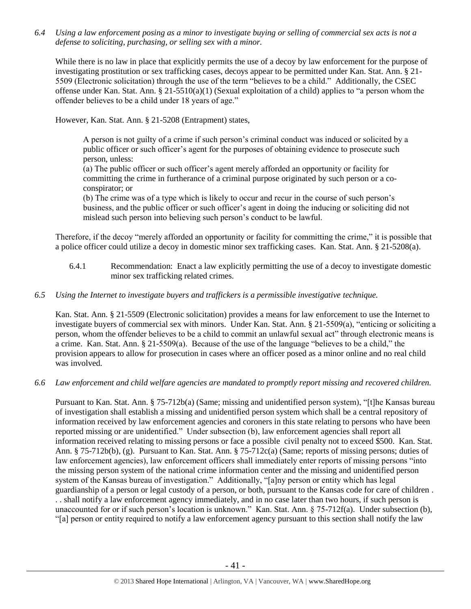*6.4 Using a law enforcement posing as a minor to investigate buying or selling of commercial sex acts is not a defense to soliciting, purchasing, or selling sex with a minor.*

While there is no law in place that explicitly permits the use of a decoy by law enforcement for the purpose of investigating prostitution or sex trafficking cases, decoys appear to be permitted under Kan. Stat. Ann. § 21- 5509 (Electronic solicitation) through the use of the term "believes to be a child." Additionally, the CSEC offense under Kan. Stat. Ann. § 21-5510(a)(1) (Sexual exploitation of a child) applies to "a person whom the offender believes to be a child under 18 years of age."

However, Kan. Stat. Ann. § 21-5208 (Entrapment) states,

A person is not guilty of a crime if such person's criminal conduct was induced or solicited by a public officer or such officer's agent for the purposes of obtaining evidence to prosecute such person, unless:

(a) The public officer or such officer's agent merely afforded an opportunity or facility for committing the crime in furtherance of a criminal purpose originated by such person or a coconspirator; or

(b) The crime was of a type which is likely to occur and recur in the course of such person's business, and the public officer or such officer's agent in doing the inducing or soliciting did not mislead such person into believing such person's conduct to be lawful.

Therefore, if the decoy "merely afforded an opportunity or facility for committing the crime," it is possible that a police officer could utilize a decoy in domestic minor sex trafficking cases. Kan. Stat. Ann. § 21-5208(a).

6.4.1 Recommendation: Enact a law explicitly permitting the use of a decoy to investigate domestic minor sex trafficking related crimes.

## *6.5 Using the Internet to investigate buyers and traffickers is a permissible investigative technique.*

Kan. Stat. Ann. § 21-5509 (Electronic solicitation) provides a means for law enforcement to use the Internet to investigate buyers of commercial sex with minors. Under Kan. Stat. Ann. § 21-5509(a), "enticing or soliciting a person, whom the offender believes to be a child to commit an unlawful sexual act" through electronic means is a crime. Kan. Stat. Ann. § 21-5509(a). Because of the use of the language "believes to be a child," the provision appears to allow for prosecution in cases where an officer posed as a minor online and no real child was involved.

*6.6 Law enforcement and child welfare agencies are mandated to promptly report missing and recovered children.*

Pursuant to Kan. Stat. Ann. § 75-712b(a) (Same; missing and unidentified person system), "[t]he Kansas bureau of investigation shall establish a missing and unidentified person system which shall be a central repository of information received by law enforcement agencies and coroners in this state relating to persons who have been reported missing or are unidentified." Under subsection (b), law enforcement agencies shall report all information received relating to missing persons or face a possible civil penalty not to exceed \$500. Kan. Stat. Ann. § 75-712b(b), (g). Pursuant to Kan. Stat. Ann. § 75-712c(a) (Same; reports of missing persons; duties of law enforcement agencies), law enforcement officers shall immediately enter reports of missing persons "into the missing person system of the national crime information center and the missing and unidentified person system of the Kansas bureau of investigation." Additionally, "[a]ny person or entity which has legal guardianship of a person or legal custody of a person, or both, pursuant to the Kansas code for care of children . . . shall notify a law enforcement agency immediately, and in no case later than two hours, if such person is unaccounted for or if such person's location is unknown." Kan. Stat. Ann. § 75-712f(a). Under subsection (b), "[a] person or entity required to notify a law enforcement agency pursuant to this section shall notify the law